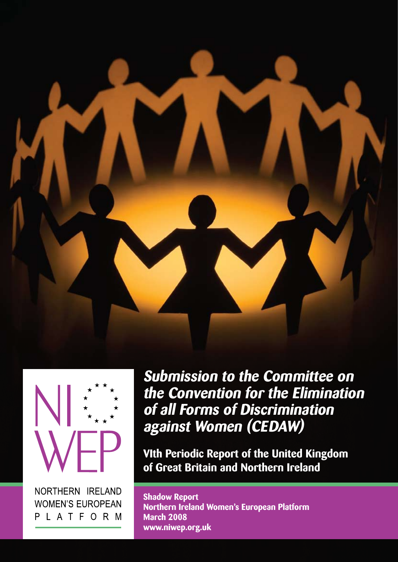



NORTHERN IRELAND **WOMEN'S EUROPEAN** PLATFORM **Submission to the Committee on the Convention for the Elimination of all Forms of Discrimination against Women (CEDAW)**

**VIth Periodic Report of the United Kingdom of Great Britain and Northern Ireland**

**Shadow Report Northern Ireland Women's European Platform March 2008 www.niwep.org.uk**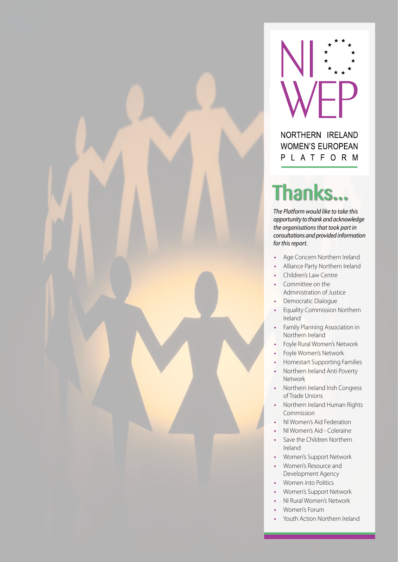



#### NORTHERN IRELAND **WOMEN'S EUROPEAN** PLATFORM

## Thanks...

*The Platform would like to take this opportunity to thank and acknowledge the organisations that took part in consultations and provided information for this report.*

- **•**  Age Concern Northern Ireland
- **•**  Alliance Party Northern Ireland
- **Children's Law Centre**
- Committee on the Administration of Justice
- **Democratic Dialogue**
- **•**  Equality Commission Northern Ireland
- **Family Planning Association in** Northern Ireland
- Foyle Rural Women's Network
- Foyle Women's Network
- **Homestart Supporting Families**
- **Northern Ireland Anti Poverty** Network
- **Northern Ireland Irish Congress** of Trade Unions
- **•**  Northern Ireland Human Rights Commission
- **NI Women's Aid Federation**
- **NI Women's Aid Coleraine**
- **Save the Children Northern** Ireland
- **Women's Support Network**
- **Women's Resource and** Development Agency
- **Women into Politics**
- **Women's Support Network**
- **NI Rural Women's Network**
- **•**  Women's Forum
- Youth Action Northern Ireland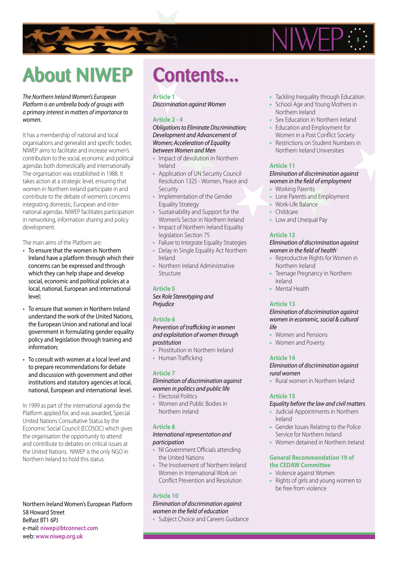



## About NIWEP Contents...

#### *The Northern Ireland Women's European Platform is an umbrella body of groups with a primary interest in matters of importance to women.*

It has a membership of national and local organisations and generalist and specific bodies. NIWEP aims to facilitate and increase women's contribution to the social, economic and political agendas both domestically and internationally. The organisation was established in 1988. It takes action at a strategic level, ensuring that women in Northern Ireland participate in and contribute to the debate of women's concerns integrating domestic, European and international agendas. NIWEP facilitates participation in networking, information sharing and policy development.

The main aims of the Platform are:

- **•** To ensure that the women in Northern Ireland have a platform through which their concerns can be expressed and through which they can help shape and develop social, economic and political policies at a local, national, European and international level;
- **•** To ensure that women in Northern Ireland understand the work of the United Nations, the European Union and national and local government in formulating gender equality policy and legislation through training and information;
- **•** To consult with women at a local level and to prepare recommendations for debate and discussion with government and other institutions and statutory agencies at local, national, European and international level.

In 1999 as part of the international agenda the Platform applied for, and was awarded, Special United Nations Consultative Status by the Economic Social Council (ECOSOC) which gives the organisation the opportunity to attend and contribute to debates on critical issues at the United Nations. NIWEP is the only NGO in Northern Ireland to hold this status.

Northern Ireland Women's European Platform 58 Howard Street Belfast BT1 6PJ e-mail: **niwep@btconnect.com** web: **www.niwep.org.uk**

#### **Article 1**

*Discrimination against Women*

#### **Article 2 - 4**

*Obligations to Eliminate Discrimination; Development and Advancement of Women; Acceleration of Equality between Women and Men*

- **Impact of devolution in Northern** Ireland
- **•**  Application of UN Security Council Resolution 1325 - Women, Peace and Security
- **Implementation of the Gender** Equality Strategy
- Sustainability and Support for the Women's Sector in Northern Ireland
- **Impact of Northern Ireland Equality** legislation Section 75
- **Failure to Integrate Equality Strategies**
- **Delay in Single Equality Act Northern** Ireland
- **•**  Northern Ireland Administrative Structure

#### **Article 5**

*Sex Role Stereotyping and Prejudice*

#### **Article 6**

*Prevention of trafficking in women and exploitation of women through prostitution*

- Prostitution in Northern Ireland
- **•**  Human Trafficking

#### **Article 7**

*Elimination of discrimination against women in politics and public life*

- **•**  Electoral Politics
- **•**  Women and Public Bodies in Northern Ireland

#### **Article 8**

#### *International representation and participation*

- **•**  NI Government Officials attending the United Nations
- **The Involvement of Northern Ireland** Women in International Work on Conflict Prevention and Resolution

#### **Article 10**

#### *Elimination of discrimination against women in the field of education*

**•**  Subject Choice and Careers Guidance

- **•**  Tackling Inequality through Education
- **•**  School Age and Young Mothers in Northern Ireland
- **Sex Education in Northern Ireland**
- **•**  Education and Employment for Women in a Post Conflict Society
- **Restrictions on Student Numbers in** Northern Ireland Universities

#### **Article 11**

#### *Elimination of discrimination against women in the field of employment*

- **•**  Working Parents
- **•**  Lone Parents and Employment
- **•**  Work-Life Balance
- **•**  Childcare
- Low and Unequal Pay

#### **Article 12**

#### *Elimination of discrimination against women in the field of health*<sup>1</sup>

- **•**  Reproductive Rights for Women in Northern Ireland
- **•**  Teenage Pregnancy in Northern Ireland
- **•**  Mental Health

#### **Article 13**

*Elimination of discrimination against women in economic, social & cultural life*

- **•**  Women and Pensions
- **•**  Women and Poverty

#### **Article 14**

#### *Elimination of discrimination against rural women*

**•**  Rural women in Northern Ireland

#### **Article 15**

#### *Equality before the law and civil matters*

- **•**  Judicial Appointments in Northern Ireland
- **•**  Gender Issues Relating to the Police Service for Northern Ireland
- **•**  Women detained in Northern Ireland

#### **General Recommendation 19 of the CEDAW Committee**

- **•**  Violence against Women
- **•**  Rights of girls and young women to be free from violence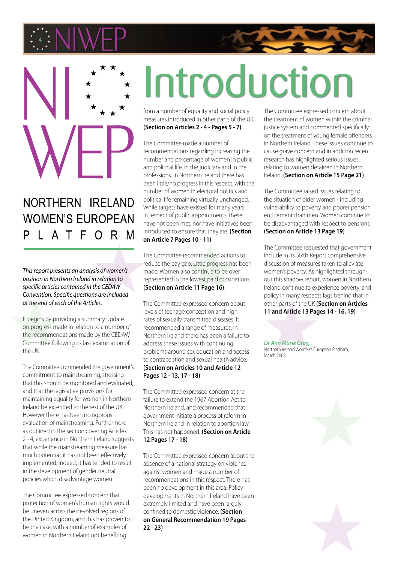



### NORTHERN IRELAND **WOMEN'S EUROPEAN** LATFORM

*This report presents an analysis of women's position in Northern Ireland in relation to specific articles contained in the CEDAW Convention. Specific questions are included at the end of each of the Articles.* 

It begins by providing a summary update on progress made in relation to a number of the recommendations made by the CEDAW Committee following its last examination of the UK.

The Committee commended the government's commitment to mainstreaming, stressing that this should be monitored and evaluated, and that the legislative provisions for maintaining equality for women in Northern Ireland be extended to the rest of the UK. However there has been no rigorous evaluation of mainstreaming. Furthermore as outlined in the section covering Articles 2 - 4, experience in Northern Ireland suggests that while the mainstreaming measure has much potential, it has not been effectively implemented. Indeed, it has tended to result in the development of gender neutral policies which disadvantage women.

The Committee expressed concern that protection of women's human rights would be uneven across the devolved regions of the United Kingdom, and this has proven to be the case, with a number of examples of women in Northern Ireland not benefiting

# Introduction

from a number of equality and social policy measures introduced in other parts of the UK **(Section on Articles 2 - 4 - Pages 5 - 7)**

The Committee made a number of recommendations regarding increasing the number and percentage of women in public and political life, in the judiciary and in the professions. In Northern Ireland there has been little/no progress in this respect, with the number of women in electoral politics and political life remaining virtually unchanged. While targets have existed for many years in respect of public appointments, these have not been met, nor have initiatives been introduced to ensure that they are. **(Section on Article 7 Pages 10 - 11)**

The Committee recommended actions to reduce the pay gap. Little progress has been made. Women also continue to be over represented in the lowest paid occupations. **(Section on Article 11 Page 16)**

The Committee expressed concern about levels of teenage conception and high rates of sexually transmitted diseases. It recommended a range of measures. In Northern Ireland there has been a failure to address these issues with continuing problems around sex education and access to contraception and sexual health advice. **(Section on Articles 10 and Article 12 Pages 12 - 13, 17 - 18)**

The Committee expressed concern at the failure to extend the 1967 Abortion Act to Northern Ireland, and recommended that government initiate a process of reform in Northern Ireland in relation to abortion law. This has not happened. **(Section on Article 12 Pages 17 - 18)**

The Committee expressed concern about the absence of a national strategy on violence against women and made a number of recommendations in this respect. There has been no development in this area. Policy developments in Northern Ireland have been extremely limited and have been largely confined to domestic violence. **(Section on General Recommendation 19 Pages 22 - 23)**

The Committee expressed concern about the treatment of women within the criminal justice system and commented specifically on the treatment of young female offenders in Northern Ireland. These issues continue to cause grave concern and in addition recent research has highlighted serious issues relating to women detained in Northern Ireland. **(Section on Article 15 Page 21)**

The Committee raised issues relating to the situation of older women - including vulnerability to poverty and poorer pension entitlement than men. Women continue to be disadvantaged with respect to pensions. **(Section on Article 13 Page 19)**

The Committee requested that government include in its Sixth Report comprehensive discussion of measures taken to alleviate women's poverty. As highlighted throughout this shadow report, women in Northern Ireland continue to experience poverty, and policy in many respects lags behind that in other parts of the UK **(Section on Articles 11 and Article 13 Pages 14 - 16, 19)**

*Dr Ann Marie Gray,* Northern Ireland Women's European Platform, March 2008

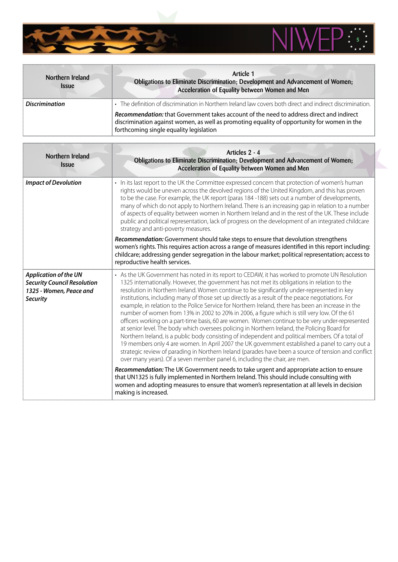

| Northern Ireland<br><i><b>Issue</b></i> | Article 1<br>Obligations to Eliminate Discrimination; Development and Advancement of Women;<br>Acceleration of Equality between Women and Men                                                                                             |
|-----------------------------------------|-------------------------------------------------------------------------------------------------------------------------------------------------------------------------------------------------------------------------------------------|
| <b>Discrimination</b>                   | • The definition of discrimination in Northern Ireland law covers both direct and indirect discrimination                                                                                                                                 |
|                                         | <b>Recommendation:</b> that Government takes account of the need to address direct and indirect<br>discrimination against women, as well as promoting equality of opportunity for women in the<br>forthcoming single equality legislation |

| Northern Ireland<br><b>Issue</b>                                                                                 | Articles 2 - 4<br>Obligations to Eliminate Discrimination; Development and Advancement of Women;<br>Acceleration of Equality between Women and Men                                                                                                                                                                                                                                                                                                                                                                                                                                                                                                                                                                                                                                                                                                                                                                                                                                                                                                                                                                                                                                                                                                                                                                                                                                                                                                                                                                         |
|------------------------------------------------------------------------------------------------------------------|----------------------------------------------------------------------------------------------------------------------------------------------------------------------------------------------------------------------------------------------------------------------------------------------------------------------------------------------------------------------------------------------------------------------------------------------------------------------------------------------------------------------------------------------------------------------------------------------------------------------------------------------------------------------------------------------------------------------------------------------------------------------------------------------------------------------------------------------------------------------------------------------------------------------------------------------------------------------------------------------------------------------------------------------------------------------------------------------------------------------------------------------------------------------------------------------------------------------------------------------------------------------------------------------------------------------------------------------------------------------------------------------------------------------------------------------------------------------------------------------------------------------------|
| <b>Impact of Devolution</b>                                                                                      | • In its last report to the UK the Committee expressed concern that protection of women's human<br>rights would be uneven across the devolved regions of the United Kingdom, and this has proven<br>to be the case. For example, the UK report (paras 184-188) sets out a number of developments,<br>many of which do not apply to Northern Ireland. There is an increasing gap in relation to a number<br>of aspects of equality between women in Northern Ireland and in the rest of the UK. These include<br>public and political representation, lack of progress on the development of an integrated childcare<br>strategy and anti-poverty measures.                                                                                                                                                                                                                                                                                                                                                                                                                                                                                                                                                                                                                                                                                                                                                                                                                                                                 |
|                                                                                                                  | Recommendation: Government should take steps to ensure that devolution strengthens<br>women's rights. This requires action across a range of measures identified in this report including:<br>childcare; addressing gender segregation in the labour market; political representation; access to<br>reproductive health services.                                                                                                                                                                                                                                                                                                                                                                                                                                                                                                                                                                                                                                                                                                                                                                                                                                                                                                                                                                                                                                                                                                                                                                                          |
| <b>Application of the UN</b><br><b>Security Council Resolution</b><br>1325 - Women, Peace and<br><b>Security</b> | • As the UK Government has noted in its report to CEDAW, it has worked to promote UN Resolution<br>1325 internationally. However, the government has not met its obligations in relation to the<br>resolution in Northern Ireland. Women continue to be significantly under-represented in key<br>institutions, including many of those set up directly as a result of the peace negotiations. For<br>example, in relation to the Police Service for Northern Ireland, there has been an increase in the<br>number of women from 13% in 2002 to 20% in 2006, a figure which is still very low. Of the 61<br>officers working on a part-time basis, 60 are women. Women continue to be very under-represented<br>at senior level. The body which oversees policing in Northern Ireland, the Policing Board for<br>Northern Ireland, is a public body consisting of independent and political members. Of a total of<br>19 members only 4 are women. In April 2007 the UK government established a panel to carry out a<br>strategic review of parading in Northern Ireland (parades have been a source of tension and conflict<br>over many years). Of a seven member panel 6, including the chair, are men.<br>Recommendation: The UK Government needs to take urgent and appropriate action to ensure<br>that UN1325 is fully implemented in Northern Ireland. This should include consulting with<br>women and adopting measures to ensure that women's representation at all levels in decision<br>making is increased. |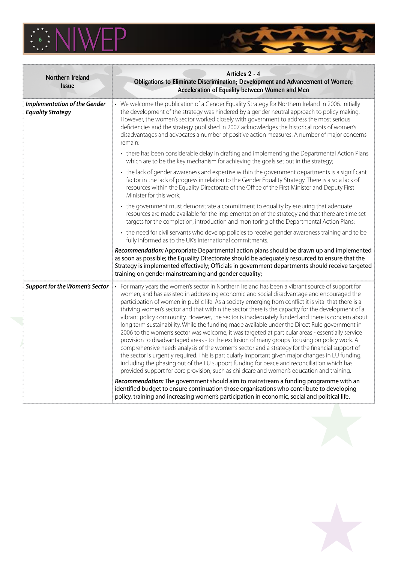



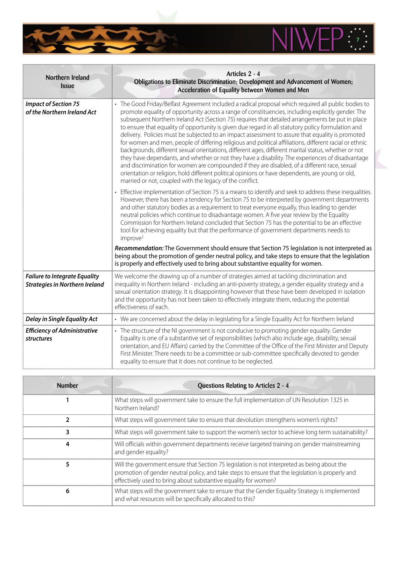

| Northern Ireland<br><b>Issue</b>                                              | Articles 2 - 4<br>Obligations to Eliminate Discrimination; Development and Advancement of Women;<br>Acceleration of Equality between Women and Men                                                                                                                                                                                                                                                                                                                                                                                                                                                                                                                                                                                                                                                                                                                                                                                                                                                                                                                                                              |
|-------------------------------------------------------------------------------|-----------------------------------------------------------------------------------------------------------------------------------------------------------------------------------------------------------------------------------------------------------------------------------------------------------------------------------------------------------------------------------------------------------------------------------------------------------------------------------------------------------------------------------------------------------------------------------------------------------------------------------------------------------------------------------------------------------------------------------------------------------------------------------------------------------------------------------------------------------------------------------------------------------------------------------------------------------------------------------------------------------------------------------------------------------------------------------------------------------------|
| <b>Impact of Section 75</b><br>of the Northern Ireland Act                    | • The Good Friday/Belfast Agreement included a radical proposal which required all public bodies to<br>promote equality of opportunity across a range of constituencies, including explicitly gender. The<br>subsequent Northern Ireland Act (Section 75) requires that detailed arrangements be put in place<br>to ensure that equality of opportunity is given due regard in all statutory policy formulation and<br>delivery. Policies must be subjected to an impact assessment to assure that equality is promoted<br>for women and men, people of differing religious and political affiliations, different racial or ethnic<br>backgrounds, different sexual orientations, different ages, different marital status, whether or not<br>they have dependants, and whether or not they have a disability. The experiences of disadvantage<br>and discrimination for women are compounded if they are disabled, of a different race, sexual<br>orientation or religion, hold different political opinions or have dependents, are young or old,<br>married or not, coupled with the legacy of the conflict. |
|                                                                               | • Effective implementation of Section 75 is a means to identify and seek to address these inequalities.<br>However, there has been a tendency for Section 75 to be interpreted by government departments<br>and other statutory bodies as a requirement to treat everyone equally, thus leading to gender<br>neutral policies which continue to disadvantage women. A five year review by the Equality<br>Commission for Northern Ireland concluded that Section 75 has the potential to be an effective<br>tool for achieving equality but that the performance of government departments needs to<br>improve <sup>2</sup><br>Recommendation: The Government should ensure that Section 75 legislation is not interpreted as<br>being about the promotion of gender neutral policy, and take steps to ensure that the legislation                                                                                                                                                                                                                                                                              |
|                                                                               | is properly and effectively used to bring about substantive equality for women.                                                                                                                                                                                                                                                                                                                                                                                                                                                                                                                                                                                                                                                                                                                                                                                                                                                                                                                                                                                                                                 |
| <b>Failure to Integrate Equality</b><br><b>Strategies in Northern Ireland</b> | We welcome the drawing up of a number of strategies aimed at tackling discrimination and<br>inequality in Northern Ireland - including an anti-poverty strategy, a gender equality strategy and a<br>sexual orientation strategy. It is disappointing however that these have been developed in isolation<br>and the opportunity has not been taken to effectively integrate them, reducing the potential<br>effectiveness of each.                                                                                                                                                                                                                                                                                                                                                                                                                                                                                                                                                                                                                                                                             |
| <b>Delay in Single Equality Act</b>                                           | • We are concerned about the delay in legislating for a Single Equality Act for Northern Ireland                                                                                                                                                                                                                                                                                                                                                                                                                                                                                                                                                                                                                                                                                                                                                                                                                                                                                                                                                                                                                |
| <b>Efficiency of Administrative</b><br>structures                             | • The structure of the NI government is not conducive to promoting gender equality. Gender<br>Equality is one of a substantive set of responsibilities (which also include age, disability, sexual<br>orientation, and EU Affairs) carried by the Committee of the Office of the First Minister and Deputy<br>First Minister. There needs to be a committee or sub-committee specifically devoted to gender<br>equality to ensure that it does not continue to be neglected.                                                                                                                                                                                                                                                                                                                                                                                                                                                                                                                                                                                                                                    |

**THE REAL** 

 $\sum_{i=1}^{n}$ 

| <b>Number</b> | Questions Relating to Articles 2 - 4                                                                                                                                                                                                                                 |
|---------------|----------------------------------------------------------------------------------------------------------------------------------------------------------------------------------------------------------------------------------------------------------------------|
|               | What steps will government take to ensure the full implementation of UN Resolution 1325 in<br>Northern Ireland?                                                                                                                                                      |
|               | What steps will government take to ensure that devolution strengthens women's rights?                                                                                                                                                                                |
|               | What steps will government take to support the women's sector to achieve long term sustainability?                                                                                                                                                                   |
|               | Will officials within government departments receive targeted training on gender mainstreaming<br>and gender equality?                                                                                                                                               |
|               | Will the government ensure that Section 75 legislation is not interpreted as being about the<br>promotion of gender neutral policy, and take steps to ensure that the legislation is properly and<br>effectively used to bring about substantive equality for women? |
| 6             | What steps will the government take to ensure that the Gender Equality Strategy is implemented<br>and what resources will be specifically allocated to this?                                                                                                         |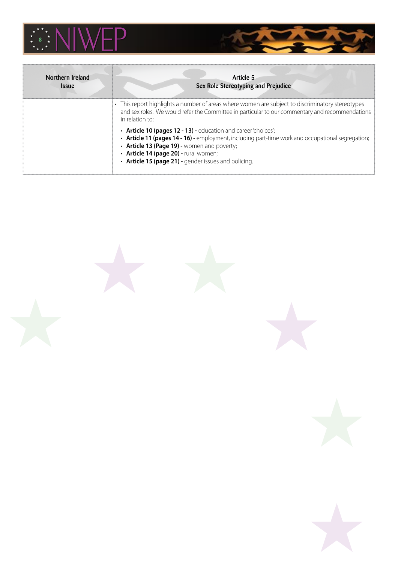

| Northern Ireland<br><i><b>Issue</b></i> | Article 5<br>Sex Role Stereotyping and Prejudice                                                                                                                                                                                                                                                                    |
|-----------------------------------------|---------------------------------------------------------------------------------------------------------------------------------------------------------------------------------------------------------------------------------------------------------------------------------------------------------------------|
|                                         | • This report highlights a number of areas where women are subject to discriminatory stereotypes<br>and sex roles. We would refer the Committee in particular to our commentary and recommendations<br>in relation to:                                                                                              |
|                                         | • Article 10 (pages 12 - 13) - education and career 'choices';<br>• Article 11 (pages 14 - 16) - employment, including part-time work and occupational segregation;<br>• Article 13 (Page 19) - women and poverty;<br>· Article 14 (page 20) - rural women;<br>• Article 15 (page 21) - gender issues and policing. |

 $\overline{a}$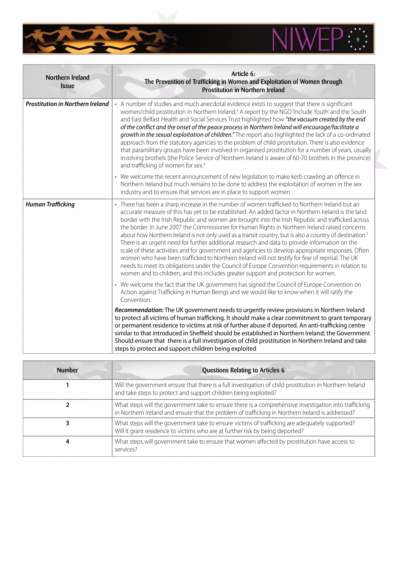

| Northern Ireland<br><b>Issue</b>        | Article 6:<br>The Prevention of Trafficking in Women and Exploitation of Women through<br>Prostitution in Northern Ireland                                                                                                                                                                                                                                                                                                                                                                                                                                                                                                                                                                                                                                                                                                                                                                                                                                                                                                                 |
|-----------------------------------------|--------------------------------------------------------------------------------------------------------------------------------------------------------------------------------------------------------------------------------------------------------------------------------------------------------------------------------------------------------------------------------------------------------------------------------------------------------------------------------------------------------------------------------------------------------------------------------------------------------------------------------------------------------------------------------------------------------------------------------------------------------------------------------------------------------------------------------------------------------------------------------------------------------------------------------------------------------------------------------------------------------------------------------------------|
| <b>Prostitution in Northern Ireland</b> | • A number of studies and much anecdotal evidence exists to suggest that there is significant<br>women/child prostitution in Northern Ireland. <sup>3</sup> A report by the NGO 'Include Youth' and the South<br>and East Belfast Health and Social Services Trust highlighted how "the vacuum created by the end<br>of the conflict and the onset of the peace process in Northern Ireland will encourage/facilitate a<br>growth in the sexual exploitation of children." The report also highlighted the lack of a co-ordinated<br>approach from the statutory agencies to the problem of child prostitution. There is also evidence<br>that paramilitary groups have been involved in organised prostitution for a number of years, usually<br>involving brothels (the Police Service of Northern Ireland is aware of 60-70 brothels in the province)<br>and trafficking of women for sex. <sup>4</sup>                                                                                                                                 |
|                                         | • We welcome the recent announcement of new legislation to make kerb crawling an offence in<br>Northern Ireland but much remains to be done to address the exploitation of women in the sex<br>industry and to ensure that services are in place to support women                                                                                                                                                                                                                                                                                                                                                                                                                                                                                                                                                                                                                                                                                                                                                                          |
| <b>Human Trafficking</b>                | • There has been a sharp increase in the number of women trafficked to Northern Ireland but an<br>accurate measure of this has yet to be established. An added factor in Northern Ireland is the land<br>border with the Irish Republic and women are brought into the Irish Republic and trafficked across<br>the border. In June 2007 the Commissioner for Human Rights in Northern Ireland raised concerns<br>about how Northern Ireland is not only used as a transit country, but is also a country of destination. <sup>5</sup><br>There is an urgent need for further additional research and data to provide information on the<br>scale of these activities and for government and agencies to develop appropriate responses. Often<br>women who have been trafficked to Northern Ireland will not testify for fear of reprisal. The UK<br>needs to meet its obligations under the Council of Europe Convention requirements in relation to<br>women and to children, and this includes greater support and protection for women. |
|                                         | • We welcome the fact that the UK government has signed the Council of Europe Convention on<br>Action against Trafficking in Human Beings and we would like to know when it will ratify the<br>Convention.                                                                                                                                                                                                                                                                                                                                                                                                                                                                                                                                                                                                                                                                                                                                                                                                                                 |
|                                         | Recommendation: The UK government needs to urgently review provisions in Northern Ireland<br>to protect all victims of human trafficking. It should make a clear commitment to grant temporary<br>or permanent residence to victims at risk of further abuse if deported. An anti-trafficking centre<br>similar to that introduced in Sheffield should be established in Northern Ireland; the Government<br>Should ensure that there is a full investigation of child prostitution in Northern Ireland and take<br>steps to protect and support children being exploited                                                                                                                                                                                                                                                                                                                                                                                                                                                                  |

32

**THE REAL** 

| <b>Number</b> | <b>Questions Relating to Articles 6</b>                                                                                                                                                                   |
|---------------|-----------------------------------------------------------------------------------------------------------------------------------------------------------------------------------------------------------|
|               | Will the government ensure that there is a full investigation of child prostitution in Northern Ireland<br>and take steps to protect and support children being exploited?                                |
|               | What steps will the government take to ensure there is a comprehensive investigation into trafficking<br>in Northern Ireland and ensure that the problem of trafficking in Northern Ireland is addressed? |
|               | What steps will the government take to ensure victims of trafficking are adequately supported?<br>Will it grant residence to victims who are at further risk by being deported?                           |
|               | What steps will government take to ensure that women affected by prostitution have access to<br>services?                                                                                                 |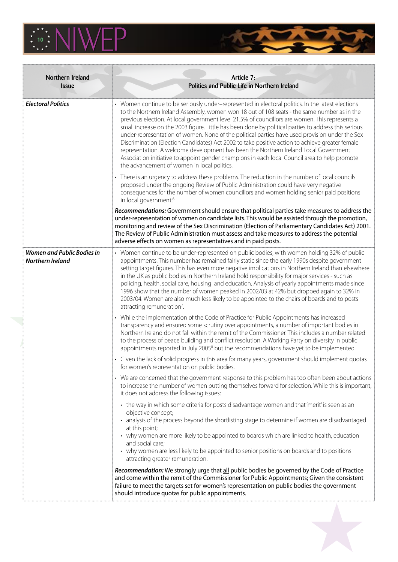

| Northern Ireland<br><b>Issue</b>                      | Article 7:<br>Politics and Public Life in Northern Ireland                                                                                                                                                                                                                                                                                                                                                                                                                                                                                                                                                                                                                                                                                                                                                                                              |
|-------------------------------------------------------|---------------------------------------------------------------------------------------------------------------------------------------------------------------------------------------------------------------------------------------------------------------------------------------------------------------------------------------------------------------------------------------------------------------------------------------------------------------------------------------------------------------------------------------------------------------------------------------------------------------------------------------------------------------------------------------------------------------------------------------------------------------------------------------------------------------------------------------------------------|
| <b>Electoral Politics</b>                             | • Women continue to be seriously under-represented in electoral politics. In the latest elections<br>to the Northern Ireland Assembly, women won 18 out of 108 seats - the same number as in the<br>previous election. At local government level 21.5% of councillors are women. This represents a<br>small increase on the 2003 figure. Little has been done by political parties to address this serious<br>under-representation of women. None of the political parties have used provision under the Sex<br>Discrimination (Election Candidates) Act 2002 to take positive action to achieve greater female<br>representation. A welcome development has been the Northern Ireland Local Government<br>Association initiative to appoint gender champions in each local Council area to help promote<br>the advancement of women in local politics. |
|                                                       | • There is an urgency to address these problems. The reduction in the number of local councils<br>proposed under the ongoing Review of Public Administration could have very negative<br>consequences for the number of women councillors and women holding senior paid positions<br>in local government. <sup>6</sup>                                                                                                                                                                                                                                                                                                                                                                                                                                                                                                                                  |
|                                                       | Recommendations: Government should ensure that political parties take measures to address the<br>under-representation of women on candidate lists. This would be assisted through the promotion,<br>monitoring and review of the Sex Discrimination (Election of Parliamentary Candidates Act) 2001.<br>The Review of Public Administration must assess and take measures to address the potential<br>adverse effects on women as representatives and in paid posts.                                                                                                                                                                                                                                                                                                                                                                                    |
| <b>Women and Public Bodies in</b><br>Northern Ireland | • Women continue to be under-represented on public bodies, with women holding 32% of public<br>appointments. This number has remained fairly static since the early 1990s despite government<br>setting target figures. This has even more negative implications in Northern Ireland than elsewhere<br>in the UK as public bodies in Northern Ireland hold responsibility for major services - such as<br>policing, health, social care, housing and education. Analysis of yearly appointments made since<br>1996 show that the number of women peaked in 2002/03 at 42% but dropped again to 32% in<br>2003/04. Women are also much less likely to be appointed to the chairs of boards and to posts<br>attracting remuneration <sup>7</sup> .                                                                                                        |
|                                                       | • While the implementation of the Code of Practice for Public Appointments has increased<br>transparency and ensured some scrutiny over appointments, a number of important bodies in<br>Northern Ireland do not fall within the remit of the Commissioner. This includes a number related<br>to the process of peace building and conflict resolution. A Working Party on diversity in public<br>appointments reported in July 2005 <sup>8</sup> but the recommendations have yet to be implemented.                                                                                                                                                                                                                                                                                                                                                   |
|                                                       | • Given the lack of solid progress in this area for many years, government should implement quotas<br>for women's representation on public bodies.                                                                                                                                                                                                                                                                                                                                                                                                                                                                                                                                                                                                                                                                                                      |
|                                                       | • We are concerned that the government response to this problem has too often been about actions<br>to increase the number of women putting themselves forward for selection. While this is important,<br>it does not address the following issues:                                                                                                                                                                                                                                                                                                                                                                                                                                                                                                                                                                                                     |
|                                                       | • the way in which some criteria for posts disadvantage women and that 'merit' is seen as an<br>objective concept;<br>• analysis of the process beyond the shortlisting stage to determine if women are disadvantaged<br>at this point;<br>• why women are more likely to be appointed to boards which are linked to health, education<br>and social care;                                                                                                                                                                                                                                                                                                                                                                                                                                                                                              |
|                                                       | • why women are less likely to be appointed to senior positions on boards and to positions<br>attracting greater remuneration.<br>Recommendation: We strongly urge that all public bodies be governed by the Code of Practice<br>and come within the remit of the Commissioner for Public Appointments; Given the consistent<br>failure to meet the targets set for women's representation on public bodies the government<br>should introduce quotas for public appointments.                                                                                                                                                                                                                                                                                                                                                                          |

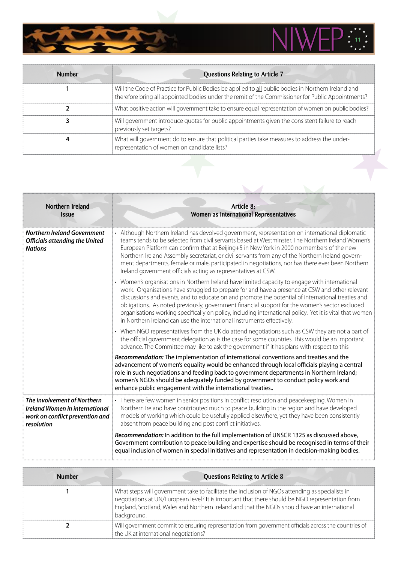

Z,

| <b>Number</b> | Questions Relating to Article 7                                                                                                                                                                          |
|---------------|----------------------------------------------------------------------------------------------------------------------------------------------------------------------------------------------------------|
|               | Will the Code of Practice for Public Bodies be applied to all public bodies in Northern Ireland and<br>therefore bring all appointed bodies under the remit of the Commissioner for Public Appointments? |
|               | What positive action will government take to ensure equal representation of women on public bodies?                                                                                                      |
|               | Will government introduce quotas for public appointments given the consistent failure to reach<br>previously set targets?                                                                                |
|               | What will government do to ensure that political parties take measures to address the under-<br>representation of women on candidate lists?                                                              |
|               |                                                                                                                                                                                                          |

**THE ST** 

 $\overline{\mathbf{A}}$ 

 $\frac{1}{\sqrt{2}}$ 

| Northern Ireland<br><b>Issue</b>                                                                                      | Article 8:<br>Women as International Representatives                                                                                                                                                                                                                                                                                                                                                                                                                                                                                                                                           |
|-----------------------------------------------------------------------------------------------------------------------|------------------------------------------------------------------------------------------------------------------------------------------------------------------------------------------------------------------------------------------------------------------------------------------------------------------------------------------------------------------------------------------------------------------------------------------------------------------------------------------------------------------------------------------------------------------------------------------------|
| <b>Northern Ireland Government</b><br><b>Officials attending the United</b><br><b>Nations</b>                         | • Although Northern Ireland has devolved government, representation on international diplomatic<br>teams tends to be selected from civil servants based at Westminster. The Northern Ireland Women's<br>European Platform can confirm that at Beijing+5 in New York in 2000 no members of the new<br>Northern Ireland Assembly secretariat, or civil servants from any of the Northern Ireland govern-<br>ment departments, female or male, participated in negotiations, nor has there ever been Northern<br>Ireland government officials acting as representatives at CSW.                   |
|                                                                                                                       | • Women's organisations in Northern Ireland have limited capacity to engage with international<br>work. Organisations have struggled to prepare for and have a presence at CSW and other relevant<br>discussions and events, and to educate on and promote the potential of international treaties and<br>obligations. As noted previously, government financial support for the women's sector excluded<br>organisations working specifically on policy, including international policy. Yet it is vital that women<br>in Northern Ireland can use the international instruments effectively. |
|                                                                                                                       | • When NGO representatives from the UK do attend negotiations such as CSW they are not a part of<br>the official government delegation as is the case for some countries. This would be an important<br>advance. The Committee may like to ask the government if it has plans with respect to this                                                                                                                                                                                                                                                                                             |
|                                                                                                                       | Recommendation: The implementation of international conventions and treaties and the<br>advancement of women's equality would be enhanced through local officials playing a central<br>role in such negotiations and feeding back to government departments in Northern Ireland;<br>women's NGOs should be adequately funded by government to conduct policy work and<br>enhance public engagement with the international treaties                                                                                                                                                             |
| The Involvement of Northern<br><b>Ireland Women in international</b><br>work on conflict prevention and<br>resolution | • There are few women in senior positions in conflict resolution and peacekeeping. Women in<br>Northern Ireland have contributed much to peace building in the region and have developed<br>models of working which could be usefully applied elsewhere, yet they have been consistently<br>absent from peace building and post conflict initiatives.                                                                                                                                                                                                                                          |
|                                                                                                                       | Recommendation: In addition to the full implementation of UNSCR 1325 as discussed above,<br>Government contribution to peace building and expertise should be recognised in terms of their<br>equal inclusion of women in special initiatives and representation in decision-making bodies.                                                                                                                                                                                                                                                                                                    |

| <b>Number</b> | <b>Questions Relating to Article 8</b>                                                                                                                                                                                                                                                                            |
|---------------|-------------------------------------------------------------------------------------------------------------------------------------------------------------------------------------------------------------------------------------------------------------------------------------------------------------------|
|               | What steps will government take to facilitate the inclusion of NGOs attending as specialists in<br>negotiations at UN/European level? It is important that there should be NGO representation from<br>England, Scotland, Wales and Northern Ireland and that the NGOs should have an international<br>background. |
|               | Will government commit to ensuring representation from government officials across the countries of<br>the UK at international negotiations?                                                                                                                                                                      |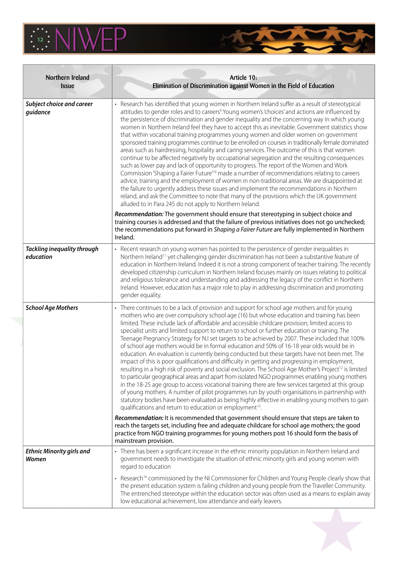

| Northern Ireland<br><b>Issue</b>                | Article 10:<br>Elimination of Discrimination against Women in the Field of Education                                                                                                                                                                                                                                                                                                                                                                                                                                                                                                                                                                                                                                                                                                                                                                                                                                                                                                                                                                                                                                                                                                                                                                                                                                                                                                                          |
|-------------------------------------------------|---------------------------------------------------------------------------------------------------------------------------------------------------------------------------------------------------------------------------------------------------------------------------------------------------------------------------------------------------------------------------------------------------------------------------------------------------------------------------------------------------------------------------------------------------------------------------------------------------------------------------------------------------------------------------------------------------------------------------------------------------------------------------------------------------------------------------------------------------------------------------------------------------------------------------------------------------------------------------------------------------------------------------------------------------------------------------------------------------------------------------------------------------------------------------------------------------------------------------------------------------------------------------------------------------------------------------------------------------------------------------------------------------------------|
| Subject choice and career<br>guidance           | • Research has identified that young women in Northern Ireland suffer as a result of stereotypical<br>attitudes to gender roles and to careers <sup>9</sup> . Young women's 'choices' and actions are influenced by<br>the persistence of discrimination and gender inequality and the concerning way in which young<br>women in Northern Ireland feel they have to accept this as inevitable. Government statistics show<br>that within vocational training programmes young women and older women on government<br>sponsored training programmes continue to be enrolled on courses in traditionally female dominated<br>areas such as hairdressing, hospitality and caring services. The outcome of this is that women<br>continue to be affected negatively by occupational segregation and the resulting consequences<br>such as lower pay and lack of opportunity to progress. The report of the Women and Work<br>Commission 'Shaping a Fairer Future' <sup>10</sup> made a number of recommendations relating to careers<br>advice, training and the employment of women in non-traditional areas. We are disappointed at<br>the failure to urgently address these issues and implement the recommendations in Northern<br>reland, and ask the Committee to note that many of the provisions which the UK government<br>alluded to in Para 245 do not apply to Northern Ireland.                      |
|                                                 | Recommendation: The government should ensure that stereotyping in subject choice and<br>training courses is addressed and that the failure of previous initiatives does not go unchecked;<br>the recommendations put forward in Shaping a Fairer Future are fully implemented in Northern<br>Ireland.                                                                                                                                                                                                                                                                                                                                                                                                                                                                                                                                                                                                                                                                                                                                                                                                                                                                                                                                                                                                                                                                                                         |
| <b>Tackling inequality through</b><br>education | • Recent research on young women has pointed to the persistence of gender inequalities in<br>Northern Ireland <sup>11</sup> yet challenging gender discrimination has not been a substantive feature of<br>education in Northern Ireland. Indeed it is not a strong component of teacher training. The recently<br>developed citizenship curriculum in Northern Ireland focuses mainly on issues relating to political<br>and religious tolerance and understanding and addressing the legacy of the conflict in Northern<br>Ireland. However, education has a major role to play in addressing discrimination and promoting<br>gender equality.                                                                                                                                                                                                                                                                                                                                                                                                                                                                                                                                                                                                                                                                                                                                                              |
| <b>School Age Mothers</b>                       | • There continues to be a lack of provision and support for school age mothers and for young<br>mothers who are over compulsory school age (16) but whose education and training has been<br>limited. These include lack of affordable and accessible childcare provision; limited access to<br>specialist units and limited support to return to school or further education or training. The<br>Teenage Pregnancy Strategy for N.I set targets to be achieved by 2007. These included that 100%<br>of school age mothers would be in formal education and 50% of 16-18 year olds would be in<br>education. An evaluation is currently being conducted but these targets have not been met. The<br>impact of this is poor qualifications and difficulty in getting and progressing in employment,<br>resulting in a high risk of poverty and social exclusion. The School Age Mother's Project <sup>12</sup> is limited<br>to particular geographical areas and apart from isolated NGO programmes enabling young mothers<br>in the 18-25 age group to access vocational training there are few services targeted at this group<br>of young mothers. A number of pilot programmes run by youth organisations in partnership with<br>statutory bodies have been evaluated as being highly effective in enabling young mothers to gain<br>qualifications and return to education or employment <sup>13</sup> . |
|                                                 | Recommendation: It is recommended that government should ensure that steps are taken to<br>reach the targets set, including free and adequate childcare for school age mothers; the good<br>practice from NGO training programmes for young mothers post 16 should form the basis of<br>mainstream provision.                                                                                                                                                                                                                                                                                                                                                                                                                                                                                                                                                                                                                                                                                                                                                                                                                                                                                                                                                                                                                                                                                                 |
| <b>Ethnic Minority girls and</b><br>Women       | • There has been a significant increase in the ethnic minority population in Northern Ireland and<br>government needs to investigate the situation of ethnic minority girls and young women with<br>regard to education                                                                                                                                                                                                                                                                                                                                                                                                                                                                                                                                                                                                                                                                                                                                                                                                                                                                                                                                                                                                                                                                                                                                                                                       |
|                                                 | • Research <sup>14</sup> commissioned by the NI Commissioner for Children and Young People clearly show that<br>the present education system is failing children and young people from the Traveller Community.<br>The entrenched stereotype within the education sector was often used as a means to explain away<br>low educational achievement, low attendance and early leavers.                                                                                                                                                                                                                                                                                                                                                                                                                                                                                                                                                                                                                                                                                                                                                                                                                                                                                                                                                                                                                          |



**TIME**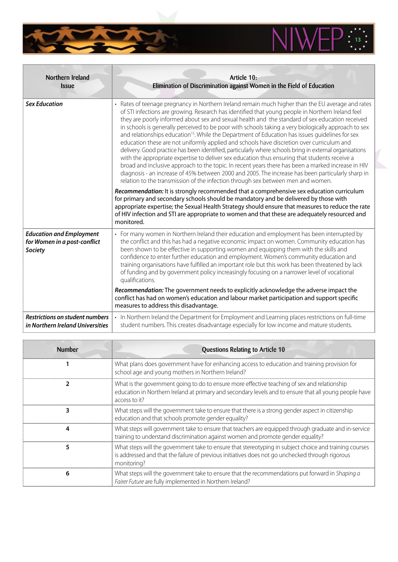

| Northern Ireland<br><b>Issue</b>                                                  | Article 10:<br>Elimination of Discrimination against Women in the Field of Education                                                                                                                                                                                                                                                                                                                                                                                                                                                                                                                                                                                                                                                                                                                                                                                                                                                                                                                                                                                                                                                     |
|-----------------------------------------------------------------------------------|------------------------------------------------------------------------------------------------------------------------------------------------------------------------------------------------------------------------------------------------------------------------------------------------------------------------------------------------------------------------------------------------------------------------------------------------------------------------------------------------------------------------------------------------------------------------------------------------------------------------------------------------------------------------------------------------------------------------------------------------------------------------------------------------------------------------------------------------------------------------------------------------------------------------------------------------------------------------------------------------------------------------------------------------------------------------------------------------------------------------------------------|
| <b>Sex Education</b>                                                              | • Rates of teenage pregnancy in Northern Ireland remain much higher than the EU average and rates<br>of STI infections are growing. Research has identified that young people in Northern Ireland feel<br>they are poorly informed about sex and sexual health and the standard of sex education received<br>in schools is generally perceived to be poor with schools taking a very biologically approach to sex<br>and relationships education <sup>15</sup> . While the Department of Education has issues quidelines for sex<br>education these are not uniformly applied and schools have discretion over curriculum and<br>delivery. Good practice has been identified, particularly where schools bring in external organisations<br>with the appropriate expertise to deliver sex education thus ensuring that students receive a<br>broad and inclusive approach to the topic. In recent years there has been a marked increase in HIV<br>diagnosis - an increase of 45% between 2000 and 2005. The increase has been particularly sharp in<br>relation to the transmission of the infection through sex between men and women. |
|                                                                                   | Recommendation: It is strongly recommended that a comprehensive sex education curriculum<br>for primary and secondary schools should be mandatory and be delivered by those with<br>appropriate expertise; the Sexual Health Strategy should ensure that measures to reduce the rate<br>of HIV infection and STI are appropriate to women and that these are adequately resourced and<br>monitored.                                                                                                                                                                                                                                                                                                                                                                                                                                                                                                                                                                                                                                                                                                                                      |
| <b>Education and Employment</b><br>for Women in a post-conflict<br><b>Society</b> | • For many women in Northern Ireland their education and employment has been interrupted by<br>the conflict and this has had a negative economic impact on women. Community education has<br>been shown to be effective in supporting women and equipping them with the skills and<br>confidence to enter further education and employment. Women's community education and<br>training organisations have fulfilled an important role but this work has been threatened by lack<br>of funding and by government policy increasingly focusing on a narrower level of vocational<br>qualifications.                                                                                                                                                                                                                                                                                                                                                                                                                                                                                                                                       |
|                                                                                   | Recommendation: The government needs to explicitly acknowledge the adverse impact the<br>conflict has had on women's education and labour market participation and support specific<br>measures to address this disadvantage.                                                                                                                                                                                                                                                                                                                                                                                                                                                                                                                                                                                                                                                                                                                                                                                                                                                                                                            |
| <b>Restrictions on student numbers</b><br>in Northern Ireland Universities        | • In Northern Ireland the Department for Employment and Learning places restrictions on full-time<br>student numbers. This creates disadvantage especially for low income and mature students.                                                                                                                                                                                                                                                                                                                                                                                                                                                                                                                                                                                                                                                                                                                                                                                                                                                                                                                                           |

 $\ddot{\bm{x}}$ 

**SAN** 

| <b>Number</b> | <b>Questions Relating to Article 10</b>                                                                                                                                                                                   |
|---------------|---------------------------------------------------------------------------------------------------------------------------------------------------------------------------------------------------------------------------|
|               | What plans does government have for enhancing access to education and training provision for<br>school age and young mothers in Northern Ireland?                                                                         |
|               | What is the government going to do to ensure more effective teaching of sex and relationship<br>education in Northern Ireland at primary and secondary levels and to ensure that all young people have<br>access to it?   |
|               | What steps will the government take to ensure that there is a strong gender aspect in citizenship<br>education and that schools promote gender equality?                                                                  |
|               | What steps will government take to ensure that teachers are equipped through graduate and in-service<br>training to understand discrimination against women and promote gender equality?                                  |
|               | What steps will the government take to ensure that stereotyping in subject choice and training courses<br>is addressed and that the failure of previous initiatives does not go unchecked through rigorous<br>monitoring? |
| 6             | What steps will the government take to ensure that the recommendations put forward in Shaping a<br>Fairer Future are fully implemented in Northern Ireland?                                                               |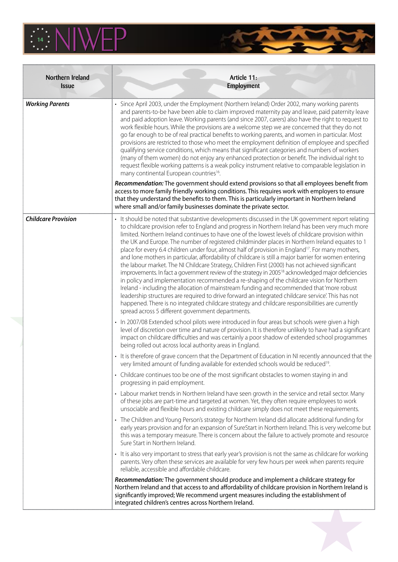

| Northern Ireland<br><b>Issue</b> | Article 11:<br><b>Employment</b>                                                                                                                                                                                                                                                                                                                                                                                                                                                                                                                                                                                                                                                                                                                                                                                                                                                                                                                                                                                                                                                                                                                                                                                                                                                                                             |
|----------------------------------|------------------------------------------------------------------------------------------------------------------------------------------------------------------------------------------------------------------------------------------------------------------------------------------------------------------------------------------------------------------------------------------------------------------------------------------------------------------------------------------------------------------------------------------------------------------------------------------------------------------------------------------------------------------------------------------------------------------------------------------------------------------------------------------------------------------------------------------------------------------------------------------------------------------------------------------------------------------------------------------------------------------------------------------------------------------------------------------------------------------------------------------------------------------------------------------------------------------------------------------------------------------------------------------------------------------------------|
| <b>Working Parents</b>           | · Since April 2003, under the Employment (Northern Ireland) Order 2002, many working parents<br>and parents-to-be have been able to claim improved maternity pay and leave, paid paternity leave<br>and paid adoption leave. Working parents (and since 2007, carers) also have the right to request to<br>work flexible hours. While the provisions are a welcome step we are concerned that they do not<br>go far enough to be of real practical benefits to working parents, and women in particular. Most<br>provisions are restricted to those who meet the employment definition of employee and specified<br>qualifying service conditions, which means that significant categories and numbers of workers<br>(many of them women) do not enjoy any enhanced protection or benefit. The individual right to<br>request flexible working patterns is a weak policy instrument relative to comparable legislation in<br>many continental European countries <sup>16</sup> .                                                                                                                                                                                                                                                                                                                                             |
|                                  | Recommendation: The government should extend provisions so that all employees benefit from<br>access to more family friendly working conditions. This requires work with employers to ensure<br>that they understand the benefits to them. This is particularly important in Northern Ireland<br>where small and/or family businesses dominate the private sector.                                                                                                                                                                                                                                                                                                                                                                                                                                                                                                                                                                                                                                                                                                                                                                                                                                                                                                                                                           |
| <b>Childcare Provision</b>       | · It should be noted that substantive developments discussed in the UK government report relating<br>to childcare provision refer to England and progress in Northern Ireland has been very much more<br>limited. Northern Ireland continues to have one of the lowest levels of childcare provision within<br>the UK and Europe. The number of registered childminder places in Northern Ireland equates to 1<br>place for every 6.4 children under four, almost half of provision in England <sup>17</sup> . For many mothers,<br>and lone mothers in particular, affordability of childcare is still a major barrier for women entering<br>the labour market. The NI Childcare Strategy, Children First (2000) has not achieved significant<br>improvements. In fact a government review of the strategy in 2005 <sup>18</sup> acknowledged major deficiencies<br>in policy and implementation recommended a re-shaping of the childcare vision for Northern<br>Ireland - including the allocation of mainstream funding and recommended that 'more robust<br>leadership structures are required to drive forward an integrated childcare service'. This has not<br>happened. There is no integrated childcare strategy and childcare responsibilities are currently<br>spread across 5 different government departments. |
|                                  | • In 2007/08 Extended school pilots were introduced in four areas but schools were given a high<br>level of discretion over time and nature of provision. It is therefore unlikely to have had a significant<br>impact on childcare difficulties and was certainly a poor shadow of extended school programmes<br>being rolled out across local authority areas in England.                                                                                                                                                                                                                                                                                                                                                                                                                                                                                                                                                                                                                                                                                                                                                                                                                                                                                                                                                  |
|                                  | • It is therefore of grave concern that the Department of Education in NI recently announced that the<br>very limited amount of funding available for extended schools would be reduced <sup>19</sup> .                                                                                                                                                                                                                                                                                                                                                                                                                                                                                                                                                                                                                                                                                                                                                                                                                                                                                                                                                                                                                                                                                                                      |
|                                  | • Childcare continues too be one of the most significant obstacles to women staying in and<br>progressing in paid employment.                                                                                                                                                                                                                                                                                                                                                                                                                                                                                                                                                                                                                                                                                                                                                                                                                                                                                                                                                                                                                                                                                                                                                                                                |
|                                  | • Labour market trends in Northern Ireland have seen growth in the service and retail sector. Many<br>of these jobs are part-time and targeted at women. Yet, they often require employees to work<br>unsociable and flexible hours and existing childcare simply does not meet these requirements.                                                                                                                                                                                                                                                                                                                                                                                                                                                                                                                                                                                                                                                                                                                                                                                                                                                                                                                                                                                                                          |
|                                  | • The Children and Young Person's strategy for Northern Ireland did allocate additional funding for<br>early years provision and for an expansion of SureStart in Northern Ireland. This is very welcome but<br>this was a temporary measure. There is concern about the failure to actively promote and resource<br>Sure Start in Northern Ireland.                                                                                                                                                                                                                                                                                                                                                                                                                                                                                                                                                                                                                                                                                                                                                                                                                                                                                                                                                                         |
|                                  | • It is also very important to stress that early year's provision is not the same as childcare for working<br>parents. Very often these services are available for very few hours per week when parents require<br>reliable, accessible and affordable childcare.                                                                                                                                                                                                                                                                                                                                                                                                                                                                                                                                                                                                                                                                                                                                                                                                                                                                                                                                                                                                                                                            |
|                                  | Recommendation: The government should produce and implement a childcare strategy for<br>Northern Ireland and that access to and affordability of childcare provision in Northern Ireland is<br>significantly improved; We recommend urgent measures including the establishment of<br>integrated children's centres across Northern Ireland.                                                                                                                                                                                                                                                                                                                                                                                                                                                                                                                                                                                                                                                                                                                                                                                                                                                                                                                                                                                 |

**TANK OF**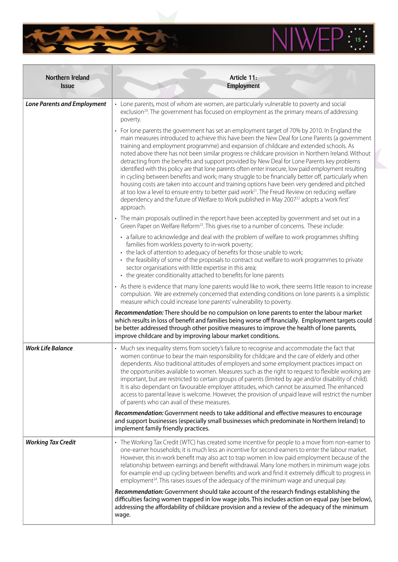

| Northern Ireland<br><b>Issue</b>   | Article 11:<br>Employment                                                                                                                                                                                                                                                                                                                                                                                                                                                                                                                                                                                                                                                                                                                                                                                                                                                                                                                                                                                                                             |
|------------------------------------|-------------------------------------------------------------------------------------------------------------------------------------------------------------------------------------------------------------------------------------------------------------------------------------------------------------------------------------------------------------------------------------------------------------------------------------------------------------------------------------------------------------------------------------------------------------------------------------------------------------------------------------------------------------------------------------------------------------------------------------------------------------------------------------------------------------------------------------------------------------------------------------------------------------------------------------------------------------------------------------------------------------------------------------------------------|
| <b>Lone Parents and Employment</b> | • Lone parents, most of whom are women, are particularly vulnerable to poverty and social<br>exclusion <sup>20</sup> . The government has focused on employment as the primary means of addressing<br>poverty.                                                                                                                                                                                                                                                                                                                                                                                                                                                                                                                                                                                                                                                                                                                                                                                                                                        |
|                                    | • For lone parents the government has set an employment target of 70% by 2010. In England the<br>main measures introduced to achieve this have been the New Deal for Lone Parents (a government<br>training and employment programme) and expansion of childcare and extended schools. As<br>noted above there has not been similar progress re childcare provision in Northern Ireland. Without<br>detracting from the benefits and support provided by New Deal for Lone Parents key problems<br>identified with this policy are that lone parents often enter insecure, low paid employment resulting<br>in cycling between benefits and work; many struggle to be financially better off, particularly when<br>housing costs are taken into account and training options have been very gendered and pitched<br>at too low a level to ensure entry to better paid work <sup>21</sup> . The Freud Review on reducing welfare<br>dependency and the future of Welfare to Work published in May 2007 <sup>22</sup> adopts a'work first'<br>approach. |
|                                    | • The main proposals outlined in the report have been accepted by government and set out in a<br>Green Paper on Welfare Reform <sup>23</sup> . This gives rise to a number of concerns. These include:                                                                                                                                                                                                                                                                                                                                                                                                                                                                                                                                                                                                                                                                                                                                                                                                                                                |
|                                    | • a failure to acknowledge and deal with the problem of welfare to work programmes shifting<br>families from workless poverty to in-work poverty;<br>• the lack of attention to adequacy of benefits for those unable to work;<br>• the feasibility of some of the proposals to contract out welfare to work programmes to private<br>sector organisations with little expertise in this area;<br>• the greater conditionality attached to benefits for lone parents                                                                                                                                                                                                                                                                                                                                                                                                                                                                                                                                                                                  |
|                                    | • As there is evidence that many lone parents would like to work, there seems little reason to increase<br>compulsion. We are extremely concerned that extending conditions on lone parents is a simplistic<br>measure which could increase lone parents' vulnerability to poverty.                                                                                                                                                                                                                                                                                                                                                                                                                                                                                                                                                                                                                                                                                                                                                                   |
|                                    | Recommendation: There should be no compulsion on lone parents to enter the labour market<br>which results in loss of benefit and families being worse off financially. Employment targets could<br>be better addressed through other positive measures to improve the health of lone parents,<br>improve childcare and by improving labour market conditions.                                                                                                                                                                                                                                                                                                                                                                                                                                                                                                                                                                                                                                                                                         |
| <b>Work Life Balance</b>           | • Much sex inequality stems from society's failure to recognise and accommodate the fact that<br>women continue to bear the main responsibility for childcare and the care of elderly and other<br>dependents. Also traditional attitudes of employers and some employment practices impact on<br>the opportunities available to women. Measures such as the right to request to flexible working are<br>important, but are restricted to certain groups of parents (limited by age and/or disability of child).<br>It is also dependant on favourable employer attitudes, which cannot be assumed. The enhanced<br>access to parental leave is welcome. However, the provision of unpaid leave will restrict the number<br>of parents who can avail of these measures.                                                                                                                                                                                                                                                                               |
|                                    | Recommendation: Government needs to take additional and effective measures to encourage<br>and support businesses (especially small businesses which predominate in Northern Ireland) to<br>implement family friendly practices.                                                                                                                                                                                                                                                                                                                                                                                                                                                                                                                                                                                                                                                                                                                                                                                                                      |
| <b>Working Tax Credit</b>          | • The Working Tax Credit (WTC) has created some incentive for people to a move from non-earner to<br>one-earner households; it is much less an incentive for second earners to enter the labour market.<br>However, this in-work benefit may also act to trap women in low paid employment because of the<br>relationship between earnings and benefit withdrawal. Many lone mothers in minimum wage jobs<br>for example end up cycling between benefits and work and find it extremely difficult to progress in<br>employment <sup>24</sup> . This raises issues of the adequacy of the minimum wage and unequal pay.                                                                                                                                                                                                                                                                                                                                                                                                                                |
|                                    | Recommendation: Government should take account of the research findings establishing the<br>difficulties facing women trapped in low wage jobs. This includes action on equal pay (see below),<br>addressing the affordability of childcare provision and a review of the adequacy of the minimum<br>wage.                                                                                                                                                                                                                                                                                                                                                                                                                                                                                                                                                                                                                                                                                                                                            |

**AND AND** 

 $\overline{\mathbf{r}}$ 

T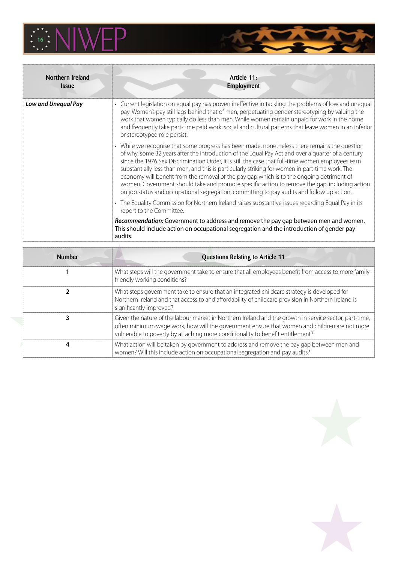

| Northern Ireland<br><i><b>Issue</b></i> | Article 11:<br><b>Employment</b>                                                                                                                                                                                                                                                                                                                                                                                                                                                                                                                                                                                                                                                                       |
|-----------------------------------------|--------------------------------------------------------------------------------------------------------------------------------------------------------------------------------------------------------------------------------------------------------------------------------------------------------------------------------------------------------------------------------------------------------------------------------------------------------------------------------------------------------------------------------------------------------------------------------------------------------------------------------------------------------------------------------------------------------|
| Low and Unequal Pay                     | • Current legislation on equal pay has proven ineffective in tackling the problems of low and unequal<br>pay. Women's pay still lags behind that of men, perpetuating gender stereotyping by valuing the<br>work that women typically do less than men. While women remain unpaid for work in the home<br>and frequently take part-time paid work, social and cultural patterns that leave women in an inferior<br>or stereotyped role persist.                                                                                                                                                                                                                                                        |
|                                         | • While we recognise that some progress has been made, nonetheless there remains the question<br>of why, some 32 years after the introduction of the Equal Pay Act and over a quarter of a century<br>since the 1976 Sex Discrimination Order, it is still the case that full-time women employees earn<br>substantially less than men, and this is particularly striking for women in part-time work. The<br>economy will benefit from the removal of the pay gap which is to the ongoing detriment of<br>women. Government should take and promote specific action to remove the gap, including action<br>on job status and occupational segregation, committing to pay audits and follow up action. |
|                                         | • The Equality Commission for Northern Ireland raises substantive issues regarding Equal Pay in its<br>report to the Committee.                                                                                                                                                                                                                                                                                                                                                                                                                                                                                                                                                                        |
|                                         | Recommendation: Government to address and remove the pay gap between men and women.<br>This should include action on occupational segregation and the introduction of gender pay<br>audits.                                                                                                                                                                                                                                                                                                                                                                                                                                                                                                            |

| <b>Number</b> | <b>Questions Relating to Article 11</b>                                                                                                                                                                                                                                                  |
|---------------|------------------------------------------------------------------------------------------------------------------------------------------------------------------------------------------------------------------------------------------------------------------------------------------|
|               | What steps will the government take to ensure that all employees benefit from access to more family<br>friendly working conditions?                                                                                                                                                      |
|               | What steps government take to ensure that an integrated childcare strategy is developed for<br>Northern Ireland and that access to and affordability of childcare provision in Northern Ireland is<br>significantly improved?                                                            |
|               | Given the nature of the labour market in Northern Ireland and the growth in service sector, part-time,<br>often minimum wage work, how will the government ensure that women and children are not more<br>vulnerable to poverty by attaching more conditionality to benefit entitlement? |
|               | What action will be taken by government to address and remove the pay gap between men and<br>women? Will this include action on occupational segregation and pay audits?                                                                                                                 |

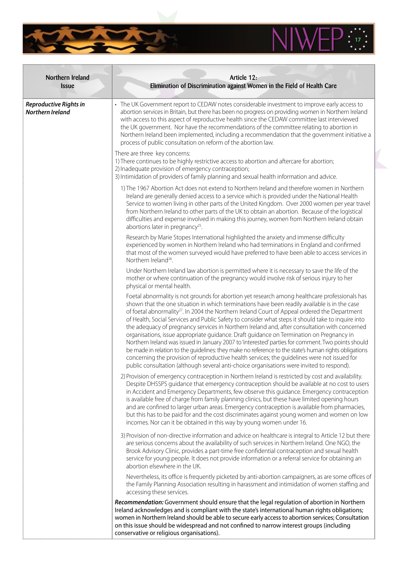

a an

| Northern Ireland<br><b>Issue</b>           | Article 12:<br>Elimination of Discrimination against Women in the Field of Health Care                                                                                                                                                                                                                                                                                                                                                                                                                                                                                                                                                                                                                                                                                                                                                                                                                                                                                                                                      |
|--------------------------------------------|-----------------------------------------------------------------------------------------------------------------------------------------------------------------------------------------------------------------------------------------------------------------------------------------------------------------------------------------------------------------------------------------------------------------------------------------------------------------------------------------------------------------------------------------------------------------------------------------------------------------------------------------------------------------------------------------------------------------------------------------------------------------------------------------------------------------------------------------------------------------------------------------------------------------------------------------------------------------------------------------------------------------------------|
| Reproductive Rights in<br>Northern Ireland | • The UK Government report to CEDAW notes considerable investment to improve early access to<br>abortion services in Britain, but there has been no progress on providing women in Northern Ireland<br>with access to this aspect of reproductive health since the CEDAW committee last interviewed<br>the UK government. Nor have the recommendations of the committee relating to abortion in<br>Northern Ireland been implemented, including a recommendation that the government initiative a<br>process of public consultation on reform of the abortion law.                                                                                                                                                                                                                                                                                                                                                                                                                                                          |
|                                            | There are three key concerns:<br>1) There continues to be highly restrictive access to abortion and aftercare for abortion;<br>2) Inadequate provision of emergency contraception;<br>3) Intimidation of providers of family planning and sexual health information and advice.                                                                                                                                                                                                                                                                                                                                                                                                                                                                                                                                                                                                                                                                                                                                             |
|                                            | 1) The 1967 Abortion Act does not extend to Northern Ireland and therefore women in Northern<br>Ireland are generally denied access to a service which is provided under the National Health<br>Service to women living in other parts of the United Kingdom. Over 2000 women per year travel<br>from Northern Ireland to other parts of the UK to obtain an abortion. Because of the logistical<br>difficulties and expense involved in making this journey, women from Northern Ireland obtain<br>abortions later in pregnancy <sup>25</sup> .                                                                                                                                                                                                                                                                                                                                                                                                                                                                            |
|                                            | Research by Marie Stopes International highlighted the anxiety and immense difficulty<br>experienced by women in Northern Ireland who had terminations in England and confirmed<br>that most of the women surveyed would have preferred to have been able to access services in<br>Northern Ireland <sup>26</sup> .                                                                                                                                                                                                                                                                                                                                                                                                                                                                                                                                                                                                                                                                                                         |
|                                            | Under Northern Ireland law abortion is permitted where it is necessary to save the life of the<br>mother or where continuation of the pregnancy would involve risk of serious injury to her<br>physical or mental health.                                                                                                                                                                                                                                                                                                                                                                                                                                                                                                                                                                                                                                                                                                                                                                                                   |
|                                            | Foetal abnormality is not grounds for abortion yet research among healthcare professionals has<br>shown that the one situation in which terminations have been readily available is in the case<br>of foetal abnormality <sup>27</sup> . In 2004 the Northern Ireland Court of Appeal ordered the Department<br>of Health, Social Services and Public Safety to consider what steps it should take to inquire into<br>the adequacy of pregnancy services in Northern Ireland and, after consultation with concerned<br>organisations, issue appropriate guidance. Draft guidance on Termination on Pregnancy in<br>Northern Ireland was issued in January 2007 to 'interested' parties for comment. Two points should<br>be made in relation to the guidelines: they make no reference to the state's human rights obligations<br>concerning the provision of reproductive health services; the guidelines were not issued for<br>public consultation (although several anti-choice organisations were invited to respond). |
|                                            | 2) Provision of emergency contraception in Northern Ireland is restricted by cost and availability.<br>Despite DHSSPS guidance that emergency contraception should be available at no cost to users<br>in Accident and Emergency Departments, few observe this guidance. Emergency contraception<br>is available free of charge from family planning clinics, but these have limited opening hours<br>and are confined to larger urban areas. Emergency contraception is available from pharmacies,<br>but this has to be paid for and the cost discriminates against young women and women on low<br>incomes. Nor can it be obtained in this way by young women under 16.                                                                                                                                                                                                                                                                                                                                                  |
|                                            | 3) Provision of non-directive information and advice on healthcare is integral to Article 12 but there<br>are serious concerns about the availability of such services in Northern Ireland. One NGO, the<br>Brook Advisory Clinic, provides a part-time free confidential contraception and sexual health<br>service for young people. It does not provide information or a referral service for obtaining an<br>abortion elsewhere in the UK.                                                                                                                                                                                                                                                                                                                                                                                                                                                                                                                                                                              |
|                                            | Nevertheless, its office is frequently picketed by anti-abortion campaigners, as are some offices of<br>the Family Planning Association resulting in harassment and intimidation of women staffing and<br>accessing these services.                                                                                                                                                                                                                                                                                                                                                                                                                                                                                                                                                                                                                                                                                                                                                                                         |
|                                            | Recommendation: Government should ensure that the legal regulation of abortion in Northern<br>Ireland acknowledges and is compliant with the state's international human rights obligations;<br>women in Northern Ireland should be able to secure early access to abortion services; Consultation<br>on this issue should be widespread and not confined to narrow interest groups (including<br>conservative or religious organisations).                                                                                                                                                                                                                                                                                                                                                                                                                                                                                                                                                                                 |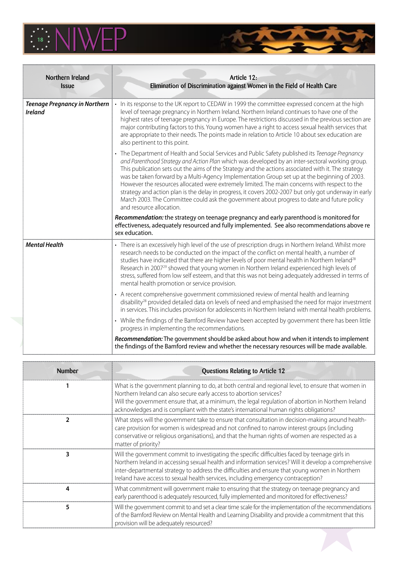

| Northern Ireland<br><b>Issue</b>                       | Article 12:<br>Elimination of Discrimination against Women in the Field of Health Care                                                                                                                                                                                                                                                                                                                                                                                                                                                                                                                                                                                                                                                          |
|--------------------------------------------------------|-------------------------------------------------------------------------------------------------------------------------------------------------------------------------------------------------------------------------------------------------------------------------------------------------------------------------------------------------------------------------------------------------------------------------------------------------------------------------------------------------------------------------------------------------------------------------------------------------------------------------------------------------------------------------------------------------------------------------------------------------|
| <b>Teenage Pregnancy in Northern</b><br><b>Ireland</b> | • In its response to the UK report to CEDAW in 1999 the committee expressed concern at the high<br>level of teenage pregnancy in Northern Ireland. Northern Ireland continues to have one of the<br>highest rates of teenage pregnancy in Europe. The restrictions discussed in the previous section are<br>major contributing factors to this. Young women have a right to access sexual health services that<br>are appropriate to their needs. The points made in relation to Article 10 about sex education are<br>also pertinent to this point.                                                                                                                                                                                            |
|                                                        | • The Department of Health and Social Services and Public Safety published its Teenage Pregnancy<br>and Parenthood Strategy and Action Plan which was developed by an inter-sectoral working group.<br>This publication sets out the aims of the Strategy and the actions associated with it. The strategy<br>was be taken forward by a Multi-Agency Implementation Group set up at the beginning of 2003.<br>However the resources allocated were extremely limited. The main concerns with respect to the<br>strategy and action plan is the delay in progress, it covers 2002-2007 but only got underway in early<br>March 2003. The Committee could ask the government about progress to date and future policy<br>and resource allocation. |
|                                                        | Recommendation: the strategy on teenage pregnancy and early parenthood is monitored for<br>effectiveness, adequately resourced and fully implemented. See also recommendations above re<br>sex education.                                                                                                                                                                                                                                                                                                                                                                                                                                                                                                                                       |
| <b>Mental Health</b>                                   | • There is an excessively high level of the use of prescription drugs in Northern Ireland. Whilst more<br>research needs to be conducted on the impact of the conflict on mental health, a number of<br>studies have indicated that there are higher levels of poor mental health in Northern Ireland <sup>28</sup><br>Research in 2007 <sup>29</sup> showed that young women in Northern Ireland experienced high levels of<br>stress, suffered from low self esteem, and that this was not being adequately addressed in terms of<br>mental health promotion or service provision.                                                                                                                                                            |
|                                                        | • A recent comprehensive government commissioned review of mental health and learning<br>disability <sup>28</sup> provided detailed data on levels of need and emphasised the need for major investment<br>in services. This includes provision for adolescents in Northern Ireland with mental health problems.                                                                                                                                                                                                                                                                                                                                                                                                                                |
|                                                        | • While the findings of the Bamford Review have been accepted by government there has been little<br>progress in implementing the recommendations.                                                                                                                                                                                                                                                                                                                                                                                                                                                                                                                                                                                              |
|                                                        | Recommendation: The government should be asked about how and when it intends to implement<br>the findings of the Bamford review and whether the necessary resources will be made available.                                                                                                                                                                                                                                                                                                                                                                                                                                                                                                                                                     |

**SANT** 

| <b>Number</b> | Questions Relating to Article 12                                                                                                                                                                                                                                                                                                                                                                 |
|---------------|--------------------------------------------------------------------------------------------------------------------------------------------------------------------------------------------------------------------------------------------------------------------------------------------------------------------------------------------------------------------------------------------------|
|               | What is the government planning to do, at both central and regional level, to ensure that women in<br>Northern Ireland can also secure early access to abortion services?<br>Will the government ensure that, at a minimum, the legal regulation of abortion in Northern Ireland<br>acknowledges and is compliant with the state's international human rights obligations?                       |
| 2             | What steps will the government take to ensure that consultation in decision-making around health-<br>care provision for women is widespread and not confined to narrow interest groups (including<br>conservative or religious organisations), and that the human rights of women are respected as a<br>matter of priority?                                                                      |
| 3             | Will the government commit to investigating the specific difficulties faced by teenage girls in<br>Northern Ireland in accessing sexual health and information services? Will it develop a comprehensive<br>inter-departmental strategy to address the difficulties and ensure that young women in Northern<br>Ireland have access to sexual health services, including emergency contraception? |
| 4             | What commitment will government make to ensuring that the strategy on teenage pregnancy and<br>early parenthood is adequately resourced, fully implemented and monitored for effectiveness?                                                                                                                                                                                                      |
| 5             | Will the government commit to and set a clear time scale for the implementation of the recommendations<br>of the Bamford Review on Mental Health and Learning Disability and provide a commitment that this<br>provision will be adequately resourced?                                                                                                                                           |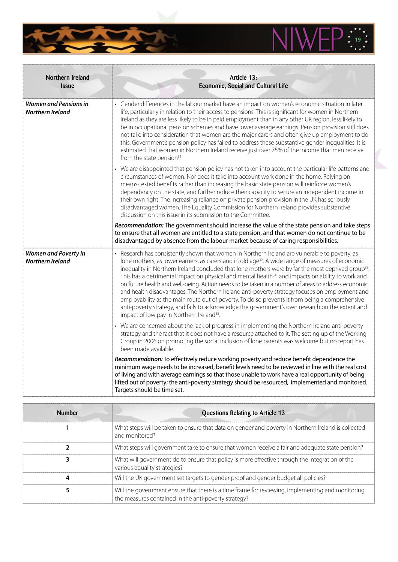

| Northern Ireland<br><b>Issue</b>                       | Article 13:<br>Economic, Social and Cultural Life                                                                                                                                                                                                                                                                                                                                                                                                                                                                                                                                                                                                                                                                                                                                                                                                                                                                          |
|--------------------------------------------------------|----------------------------------------------------------------------------------------------------------------------------------------------------------------------------------------------------------------------------------------------------------------------------------------------------------------------------------------------------------------------------------------------------------------------------------------------------------------------------------------------------------------------------------------------------------------------------------------------------------------------------------------------------------------------------------------------------------------------------------------------------------------------------------------------------------------------------------------------------------------------------------------------------------------------------|
| <b>Women and Pensions in</b><br>Northern Ireland       | • Gender differences in the labour market have an impact on women's economic situation in later<br>life, particularly in relation to their access to pensions. This is significant for women in Northern<br>Ireland as they are less likely to be in paid employment than in any other UK region, less likely to<br>be in occupational pension schemes and have lower average earnings. Pension provision still does<br>not take into consideration that women are the major carers and often give up employment to do<br>this. Government's pension policy has failed to address these substantive gender inequalities. It is<br>estimated that women in Northern Ireland receive just over 75% of the income that men receive<br>from the state pension <sup>31</sup> .                                                                                                                                                  |
|                                                        | • We are disappointed that pension policy has not taken into account the particular life patterns and<br>circumstances of women. Nor does it take into account work done in the home. Relying on<br>means-tested benefits rather than increasing the basic state pension will reinforce women's<br>dependency on the state, and further reduce their capacity to secure an independent income in<br>their own right. The increasing reliance on private pension provision in the UK has seriously<br>disadvantaged women. The Equality Commission for Northern Ireland provides substantive<br>discussion on this issue in its submission to the Committee.                                                                                                                                                                                                                                                                |
|                                                        | Recommendation: The government should increase the value of the state pension and take steps<br>to ensure that all women are entitled to a state pension, and that women do not continue to be<br>disadvantaged by absence from the labour market because of caring responsibilities.                                                                                                                                                                                                                                                                                                                                                                                                                                                                                                                                                                                                                                      |
| <b>Women and Poverty in</b><br><b>Northern Ireland</b> | • Research has consistently shown that women in Northern Ireland are vulnerable to poverty, as<br>lone mothers, as lower earners, as carers and in old age <sup>32</sup> . A wide range of measures of economic<br>inequality in Northern Ireland concluded that lone mothers were by far the most deprived group <sup>33</sup> .<br>This has a detrimental impact on physical and mental health <sup>34</sup> , and impacts on ability to work and<br>on future health and well-being. Action needs to be taken in a number of areas to address economic<br>and health disadvantages. The Northern Ireland anti-poverty strategy focuses on employment and<br>employability as the main route out of poverty. To do so prevents it from being a comprehensive<br>anti-poverty strategy, and fails to acknowledge the government's own research on the extent and<br>impact of low pay in Northern Ireland <sup>35</sup> . |
|                                                        | • We are concerned about the lack of progress in implementing the Northern Ireland anti-poverty<br>strategy and the fact that it does not have a resource attached to it. The setting up of the Working<br>Group in 2006 on promoting the social inclusion of lone parents was welcome but no report has<br>been made available.                                                                                                                                                                                                                                                                                                                                                                                                                                                                                                                                                                                           |
|                                                        | Recommendation: To effectively reduce working poverty and reduce benefit dependence the<br>minimum wage needs to be increased, benefit levels need to be reviewed in line with the real cost<br>of living and with average earnings so that those unable to work have a real opportunity of being<br>lifted out of poverty; the anti-poverty strategy should be resourced, implemented and monitored.<br>Targets should be time set.                                                                                                                                                                                                                                                                                                                                                                                                                                                                                       |

 $\overline{\mathbf{r}}$ 

 $\mathbf{z}$ 

Ñ

| <b>Number</b> | <b>Questions Relating to Article 13</b>                                                                                                                  |
|---------------|----------------------------------------------------------------------------------------------------------------------------------------------------------|
|               | What steps will be taken to ensure that data on gender and poverty in Northern Ireland is collected<br>and monitored?                                    |
|               | What steps will government take to ensure that women receive a fair and adequate state pension?                                                          |
|               | What will government do to ensure that policy is more effective through the integration of the<br>various equality strategies?                           |
|               | Will the UK government set targets to gender proof and gender budget all policies?                                                                       |
|               | Will the government ensure that there is a time frame for reviewing, implementing and monitoring<br>the measures contained in the anti-poverty strategy? |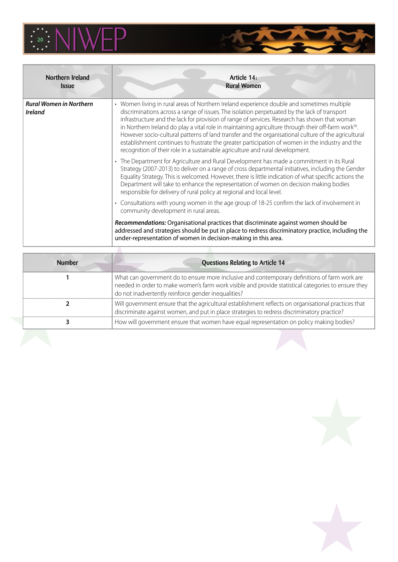

| Northern Ireland<br><b>Issue</b>                 | Article 14:<br><b>Rural Women</b>                                                                                                                                                                                                                                                                                                                                                                                                                                                                                                                                                                                                                                                                         |
|--------------------------------------------------|-----------------------------------------------------------------------------------------------------------------------------------------------------------------------------------------------------------------------------------------------------------------------------------------------------------------------------------------------------------------------------------------------------------------------------------------------------------------------------------------------------------------------------------------------------------------------------------------------------------------------------------------------------------------------------------------------------------|
| <b>Rural Women in Northern</b><br><b>Ireland</b> | • Women living in rural areas of Northern Ireland experience double and sometimes multiple<br>discriminations across a range of issues. The isolation perpetuated by the lack of transport<br>infrastructure and the lack for provision of range of services. Research has shown that woman<br>in Northern Ireland do play a vital role in maintaining agriculture through their off-farm work <sup>36</sup> .<br>However socio-cultural patterns of land transfer and the organisational culture of the agricultural<br>establishment continues to frustrate the greater participation of women in the industry and the<br>recognition of their role in a sustainable agriculture and rural development. |
|                                                  | • The Department for Agriculture and Rural Development has made a commitment in its Rural<br>Strategy (2007-2013) to deliver on a range of cross departmental initiatives, including the Gender<br>Equality Strategy. This is welcomed. However, there is little indication of what specific actions the<br>Department will take to enhance the representation of women on decision making bodies<br>responsible for delivery of rural policy at regional and local level.                                                                                                                                                                                                                                |
|                                                  | • Consultations with young women in the age group of 18-25 confirm the lack of involvement in<br>community development in rural areas.                                                                                                                                                                                                                                                                                                                                                                                                                                                                                                                                                                    |
|                                                  | Recommendations: Organisational practices that discriminate against women should be<br>addressed and strategies should be put in place to redress discriminatory practice, including the<br>under-representation of women in decision-making in this area.                                                                                                                                                                                                                                                                                                                                                                                                                                                |

The Marie of the Company

| <b>Number</b> | Questions Relating to Article 14                                                                                                                                                                                                                            |
|---------------|-------------------------------------------------------------------------------------------------------------------------------------------------------------------------------------------------------------------------------------------------------------|
|               | What can government do to ensure more inclusive and contemporary definitions of farm work are<br>needed in order to make women's farm work visible and provide statistical categories to ensure they<br>do not inadvertently reinforce gender inequalities? |
|               | Will government ensure that the agricultural establishment reflects on organisational practices that<br>discriminate against women, and put in place strategies to redress discriminatory practice?                                                         |
|               | How will government ensure that women have equal representation on policy making bodies?                                                                                                                                                                    |

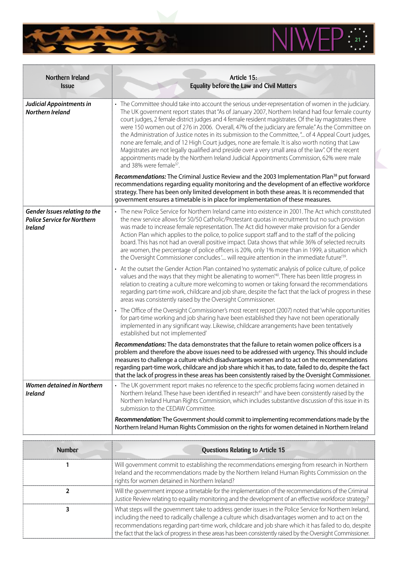

| Northern Ireland<br><b>Issue</b>                                                      | Article 15:<br>Equality before the Law and Civil Matters                                                                                                                                                                                                                                                                                                                                                                                                                                                                                                                                                                                                                                                                                                                                                                                                                     |
|---------------------------------------------------------------------------------------|------------------------------------------------------------------------------------------------------------------------------------------------------------------------------------------------------------------------------------------------------------------------------------------------------------------------------------------------------------------------------------------------------------------------------------------------------------------------------------------------------------------------------------------------------------------------------------------------------------------------------------------------------------------------------------------------------------------------------------------------------------------------------------------------------------------------------------------------------------------------------|
| Judicial Appointments in<br>Northern Ireland                                          | • The Committee should take into account the serious under-representation of women in the judiciary.<br>The UK government report states that "As of January 2007, Northern Ireland had four female county<br>court judges, 2 female district judges and 4 female resident magistrates. Of the lay magistrates there<br>were 150 women out of 276 in 2006. Overall, 47% of the judiciary are female." As the Committee on<br>the Administration of Justice notes in its submission to the Committee," of 4 Appeal Court judges,<br>none are female, and of 12 High Court judges, none are female. It is also worth noting that Law<br>Magistrates are not legally qualified and preside over a very small area of the law". Of the recent<br>appointments made by the Northern Ireland Judicial Appointments Commission, 62% were male<br>and 38% were female <sup>37</sup> . |
|                                                                                       | Recommendations: The Criminal Justice Review and the 2003 Implementation Plan <sup>38</sup> put forward<br>recommendations regarding equality monitoring and the development of an effective workforce<br>strategy. There has been only limited development in both these areas. It is recommended that<br>government ensures a timetable is in place for implementation of these measures.                                                                                                                                                                                                                                                                                                                                                                                                                                                                                  |
| Gender Issues relating to the<br><b>Police Service for Northern</b><br><b>Ireland</b> | • The new Police Service for Northern Ireland came into existence in 2001. The Act which constituted<br>the new service allows for 50/50 Catholic/Protestant quotas in recruitment but no such provision<br>was made to increase female representation. The Act did however make provision for a Gender<br>Action Plan which applies to the police, to police support staff and to the staff of the policing<br>board. This has not had an overall positive impact. Data shows that while 36% of selected recruits<br>are women, the percentage of police officers is 20%, only 1% more than in 1999, a situation which<br>the Oversight Commissioner concludes ' will require attention in the immediate future'39.                                                                                                                                                         |
|                                                                                       | • At the outset the Gender Action Plan contained 'no systematic analysis of police culture, of police<br>values and the ways that they might be alienating to women <sup>40</sup> . There has been little progress in<br>relation to creating a culture more welcoming to women or taking forward the recommendations<br>regarding part-time work, childcare and job share, despite the fact that the lack of progress in these<br>areas was consistently raised by the Oversight Commissioner.                                                                                                                                                                                                                                                                                                                                                                              |
|                                                                                       | • The Office of the Oversight Commissioner's most recent report (2007) noted that 'while opportunities<br>for part-time working and job sharing have been established they have not been operationally<br>implemented in any significant way. Likewise, childcare arrangements have been tentatively<br>established but not implemented'                                                                                                                                                                                                                                                                                                                                                                                                                                                                                                                                     |
|                                                                                       | Recommendations: The data demonstrates that the failure to retain women police officers is a<br>problem and therefore the above issues need to be addressed with urgency. This should include<br>measures to challenge a culture which disadvantages women and to act on the recommendations<br>regarding part-time work, childcare and job share which it has, to date, failed to do, despite the fact<br>that the lack of progress in these areas has been consistently raised by the Oversight Commissioner.                                                                                                                                                                                                                                                                                                                                                              |
| <b>Women detained in Northern</b><br><b>Ireland</b>                                   | • The UK government report makes no reference to the specific problems facing women detained in<br>Northern Ireland. These have been identified in research <sup>41</sup> and have been consistently raised by the<br>Northern Ireland Human Rights Commission, which includes substantive discussion of this issue in its<br>submission to the CEDAW Committee.                                                                                                                                                                                                                                                                                                                                                                                                                                                                                                             |
|                                                                                       | Recommendation: The Government should commit to implementing recommendations made by the<br>Northern Ireland Human Rights Commission on the rights for women detained in Northern Ireland                                                                                                                                                                                                                                                                                                                                                                                                                                                                                                                                                                                                                                                                                    |

 $\overline{\phantom{a}}$ 

ŵ

| <b>Number</b> | Questions Relating to Article 15                                                                                                                                                                                                                                                                                                                                                                                                     |
|---------------|--------------------------------------------------------------------------------------------------------------------------------------------------------------------------------------------------------------------------------------------------------------------------------------------------------------------------------------------------------------------------------------------------------------------------------------|
|               | Will government commit to establishing the recommendations emerging from research in Northern<br>Ireland and the recommendations made by the Northern Ireland Human Rights Commission on the<br>rights for women detained in Northern Ireland?                                                                                                                                                                                       |
|               | Will the government impose a timetable for the implementation of the recommendations of the Criminal<br>Justice Review relating to equality monitoring and the development of an effective workforce strategy?                                                                                                                                                                                                                       |
|               | What steps will the government take to address gender issues in the Police Service for Northern Ireland,<br>including the need to radically challenge a culture which disadvantages women and to act on the<br>recommendations regarding part-time work, childcare and job share which it has failed to do, despite<br>the fact that the lack of progress in these areas has been consistently raised by the Oversight Commissioner. |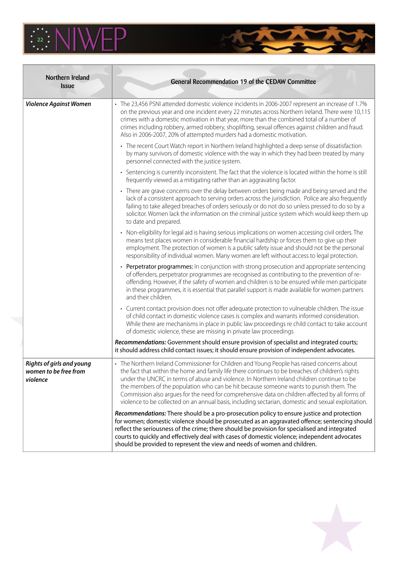

| Northern Ireland<br><b>Issue</b>                                      | General Recommendation 19 of the CEDAW Committee                                                                                                                                                                                                                                                                                                                                                                                                                                                                                                                                                    |
|-----------------------------------------------------------------------|-----------------------------------------------------------------------------------------------------------------------------------------------------------------------------------------------------------------------------------------------------------------------------------------------------------------------------------------------------------------------------------------------------------------------------------------------------------------------------------------------------------------------------------------------------------------------------------------------------|
| <b>Violence Against Women</b>                                         | • The 23,456 PSNI attended domestic violence incidents in 2006-2007 represent an increase of 1.7%<br>on the previous year and one incident every 22 minutes across Northern Ireland. There were 10,115<br>crimes with a domestic motivation in that year, more than the combined total of a number of<br>crimes including robbery, armed robbery, shoplifting, sexual offences against children and fraud.<br>Also in 2006-2007, 20% of attempted murders had a domestic motivation.                                                                                                                |
|                                                                       | • The recent Court Watch report in Northern Ireland highlighted a deep sense of dissatisfaction<br>by many survivors of domestic violence with the way in which they had been treated by many<br>personnel connected with the justice system.                                                                                                                                                                                                                                                                                                                                                       |
|                                                                       | • Sentencing is currently inconsistent. The fact that the violence is located within the home is still<br>frequently viewed as a mitigating rather than an aggravating factor.                                                                                                                                                                                                                                                                                                                                                                                                                      |
|                                                                       | • There are grave concerns over the delay between orders being made and being served and the<br>lack of a consistent approach to serving orders across the jurisdiction. Police are also frequently<br>failing to take alleged breaches of orders seriously or do not do so unless pressed to do so by a<br>solicitor. Women lack the information on the criminal justice system which would keep them up<br>to date and prepared.                                                                                                                                                                  |
|                                                                       | • Non-eligibility for legal aid is having serious implications on women accessing civil orders. The<br>means test places women in considerable financial hardship or forces them to give up their<br>employment. The protection of women is a public safety issue and should not be the personal<br>responsibility of individual women. Many women are left without access to legal protection.                                                                                                                                                                                                     |
|                                                                       | • Perpetrator programmes: In conjunction with strong prosecution and appropriate sentencing<br>of offenders, perpetrator programmes are recognised as contributing to the prevention of re-<br>offending. However, if the safety of women and children is to be ensured while men participate<br>in these programmes, it is essential that parallel support is made available for women partners<br>and their children.                                                                                                                                                                             |
|                                                                       | • Current contact provision does not offer adequate protection to vulnerable children. The issue<br>of child contact in domestic violence cases is complex and warrants informed consideration.<br>While there are mechanisms in place in public law proceedings re child contact to take account<br>of domestic violence, these are missing in private law proceedings                                                                                                                                                                                                                             |
|                                                                       | Recommendations: Government should ensure provision of specialist and integrated courts;<br>it should address child contact issues; it should ensure provision of independent advocates.                                                                                                                                                                                                                                                                                                                                                                                                            |
| <b>Rights of girls and young</b><br>women to be free from<br>violence | • The Northern Ireland Commissioner for Children and Young People has raised concerns about<br>the fact that within the home and family life there continues to be breaches of children's rights<br>under the UNCRC in terms of abuse and violence. In Northern Ireland children continue to be<br>the members of the population who can be hit because someone wants to punish them. The<br>Commission also argues for the need for comprehensive data on children affected by all forms of<br>violence to be collected on an annual basis, including sectarian, domestic and sexual exploitation. |
|                                                                       | Recommendations: There should be a pro-prosecution policy to ensure justice and protection<br>for women; domestic violence should be prosecuted as an aggravated offence; sentencing should<br>reflect the seriousness of the crime; there should be provision for specialised and integrated<br>courts to quickly and effectively deal with cases of domestic violence; independent advocates<br>should be provided to represent the view and needs of women and children.                                                                                                                         |

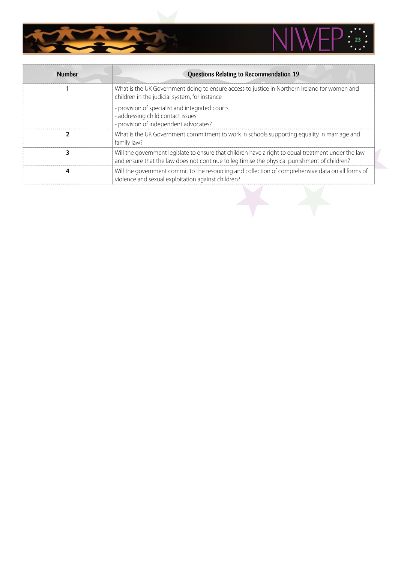

| <b>Number</b> | Questions Relating to Recommendation 19                                                                                                                                                             |
|---------------|-----------------------------------------------------------------------------------------------------------------------------------------------------------------------------------------------------|
|               | What is the UK Government doing to ensure access to justice in Northern Ireland for women and<br>children in the judicial system, for instance                                                      |
|               | - provision of specialist and integrated courts<br>- addressing child contact issues<br>- provision of independent advocates?                                                                       |
|               | What is the UK Government commitment to work in schools supporting equality in marriage and<br>family law?                                                                                          |
|               | Will the government legislate to ensure that children have a right to equal treatment under the law<br>and ensure that the law does not continue to legitimise the physical punishment of children? |
|               | Will the government commit to the resourcing and collection of comprehensive data on all forms of<br>violence and sexual exploitation against children?                                             |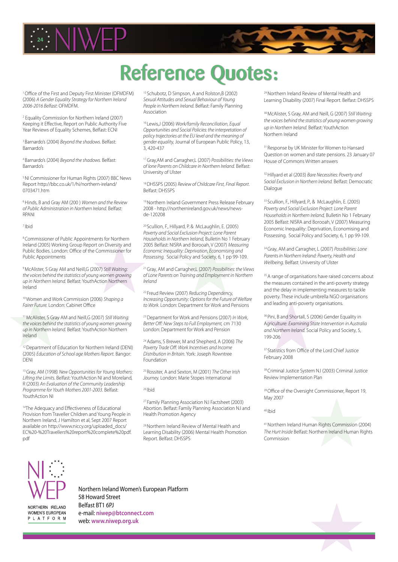

## Reference Quotes:

<sup>1</sup> Office of the First and Deputy First Minister (OFMDFM) (2006) *A Gender Equality Strategy for Northern Ireland 2006-2016 Belfast*: OFMDFM.

2 Equality Commission for Northern Ireland (2007) Keeping it Effective, Report on Public Authority Five Year Reviews of Equality Schemes, Belfast: ECNI

3 Barnardo's (2004) *Beyond the shadows*. Belfast: Barnardo's

4 Barnardo's (2004) *Beyond the shadows.* Belfast: Barnardo's

5 NI Commissioner for Human Rights (2007) BBC News Report http://bbc.co.uk/1/hi/northern-ireland/ 0703471.htm

6 Hinds, B and Gray AM (200 ) *Women and the Review of Public Administration in Northern Ireland.* Belfast: RPANI

7 Ibid

8 Commissioner of Public Appointments for Northern Ireland (2005) Working Group Report on Diversity and Public Bodies. London: Office of the Commissioner for Public Appointments

9 McAlister, S Gray AM and Neill,G (2007) *Still Waiting: the voices behind the statistics of young women growing up in Northern Ireland.* Belfast: YouthAction Northern Ireland

10 Women and Work Commission (2006) *Shaping a Fairer Future.* London: Cabinet Office

11 McAlister, S Gray AM and Neill,G (2007) *Still Waiting: the voices behind the statistics of young women growing up in Northern Ireland.* Belfast: YouthAction Northern Ireland

<sup>12</sup> Department of Education for Northern Ireland (DENI) (2005) *Education of School age Mothers Report.* Bangor: DENI

13 Gray, AM (1998) *New Opportunities for Young Mothers: Lifting the Limits.* Belfast: YouthAction NI and Moreland, R (2003) *An Evaluation of the Community Leadership Programme for Youth Mothers 2001-2003.* Belfast: YouthAction NI

<sup>14</sup>The Adequacy and Effectiveness of Educational Provision from Traveller Children and Young People in Northern Ireland, J Hamilton et al, Sept 2007 Report available on http://www.niccy.org/uploaded\_docs/ EC%20-%20Travellers%20report%20complete%20pdf. pdf

15 Schubotz, D Simpson, A and Rolston,B (2002) *Sexual Attitudes and Sexual Behaviour of Young People in Northern Ireland.* Belfast: Family Planning Association

16 Lewis,J (2006) *Work/family Reconciliation, Equal Opportunities and Social Policies: the interpretation of policy trajectories at the EU level and the meaning of gender equality,* Journal of European Public Policy, 13, 3, 420-437

17 Gray,AM and Carragher,L (2007) *Possibilities: the Views of lone Parents on Childcare in Northern Ireland.* Belfast: University of Ulster

18 DHSSPS (2005) *Review of Childcare First, Final Report.* Belfast: DHSSPS

19 Northern Ireland Government Press Release February 2008 - http://northernireland.gov.uk/news/newsde-120208

20 Scullion, F., Hillyard, P. & McLaughlin, E. (2005) *Poverty and Social Exclusion Project: Lone Parent Households in Northern Ireland,* Bulletin No 1 February 2005 Belfast: NISRA and Borooah, V (2007) *Measuring Economic Inequality: Deprivation, Economising and Possessing.* Social Policy and Society, 6, 1 pp 99-109.

21 Gray, AM and Carragher,L (2007) *Possibilities: the Views of Lone Parents on Training and Employment in Northern Ireland*

22 Freud Review (2007) *Reducing Dependency, Increasing Opportunity: Options for the Future of Welfare to Work.* London: Department for Work and Pensions

23 Department for Work and Pensions (2007) *In Work, Better Off: New Steps to Full Employment,* cm 7130 London: Department for Work and Pension

24 Adams, S Brewer, M and Shepherd, A (2006) *The Poverty Trade Off: Work Incentives and Income Distribution in Britain.* York: Joseph Rowntree Foundation

25 Rossiter, A and Sexton, M (2001) *The Other Irish Journey.* London: Marie Stopes International

26 Ibid

27 Family Planning Association N.I Factsheet (2003) Abortion. Belfast: Family Planning Association N.I and Health Promotion Agency

28 Northern Ireland Review of Mental Health and Learning Disability (2006) Mental Health Promotion Report. Belfast: DHSSPS

29 Northern Ireland Review of Mental Health and Learning Disability (2007) Final Report. Belfast: DHSSPS

30 McAlister, S Gray, AM and Neill, G (2007) *Still Waiting: the voices behind the statistics of young women growing up in Northern Ireland.* Belfast: YouthAction Northern Ireland

<sup>31</sup> Response by UK Minister for Women to Hansard Question on women and state pensions. 23 January 07 House of Commons Written answers

32 Hillyard et al (2003) *Bare Necessities: Poverty and Social Exclusion in Northern Ireland.* Belfast: Democratic Dialogue

33 Scullion, F., Hillyard, P., & McLaughlin, E. (2005) *Poverty and Social Exclusion Project: Lone Parent Households in Northern Ireland,* Bulletin No 1 February 2005 Belfast: NISRA and Borooah, V (2007) Measuring Economic Inequality: Deprivation, Economising and Possessing. Social Policy and Society, 6, 1 pp 99-109.

34 Gray, AM and Carragher, L (2007) *Possibilities: Lone Parents in Northern Ireland: Poverty, Health and Wellbeing.* Belfast: University of Ulster

<sup>35</sup> A range of organisations have raised concerns about the measures contained in the anti-poverty strategy and the delay in implementing measures to tackle poverty. These include umbrella NGO organisations and leading anti-poverty organisations.

36 Pini, B and Shortall, S (2006) Gender Equality in Agriculture: *Examining State Intervention in Australia and Northern Ireland.* Social Policy and Society, 5, 199-206

<sup>37</sup> Statistics from Office of the Lord Chief Justice February 2008

38 Criminal Justice System N.I (2003) Criminal Justice Review Implementation Plan

<sup>39</sup> Office of the Oversight Commissioner, Report 19, May 2007

40 Ibid

41 Northern Ireland Human Rights Commission (2004) *The Hurt Inside* Belfast: Northern Ireland Human Rights Commission



NORTHERN IRELAND **WOMEN'S EUROPEAN** PLATFORM Northern Ireland Women's European Platform 58 Howard Street Belfast BT1 6PJ e-mail: **niwep@btconnect.com** web: **www.niwep.org.uk**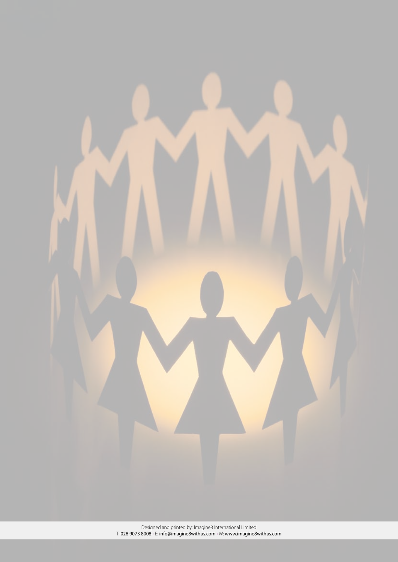